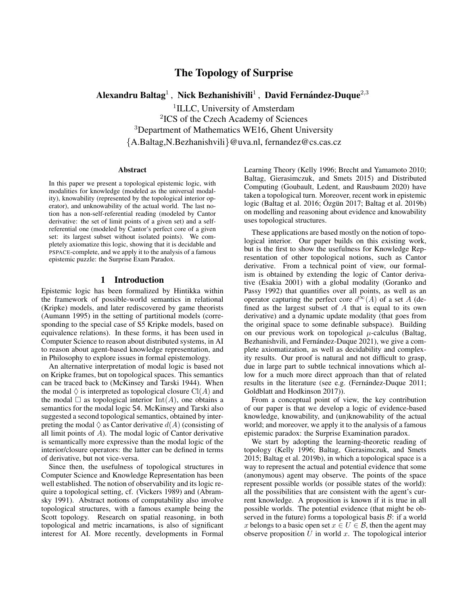# The Topology of Surprise

Alexandru Baltag $^1\, ,\,$  Nick Bezhanishivili $^1\, ,\,$  David Fernández-Duque $^{2,3}$ 

<sup>1</sup>ILLC, University of Amsterdam 2 ICS of the Czech Academy of Sciences <sup>3</sup>Department of Mathematics WE16, Ghent University {A.Baltag,N.Bezhanishvili}@uva.nl, fernandez@cs.cas.cz

#### Abstract

In this paper we present a topological epistemic logic, with modalities for knowledge (modeled as the universal modality), knowability (represented by the topological interior operator), and unknowability of the actual world. The last notion has a non-self-referential reading (modeled by Cantor derivative: the set of limit points of a given set) and a selfreferential one (modeled by Cantor's perfect core of a given set: its largest subset without isolated points). We completely axiomatize this logic, showing that it is decidable and PSPACE-complete, and we apply it to the analysis of a famous epistemic puzzle: the Surprise Exam Paradox.

#### 1 Introduction

Epistemic logic has been formalized by Hintikka within the framework of possible-world semantics in relational (Kripke) models, and later rediscovered by game theorists [\(Aumann 1995\)](#page-9-0) in the setting of partitional models (corresponding to the special case of S5 Kripke models, based on equivalence relations). In these forms, it has been used in Computer Science to reason about distributed systems, in AI to reason about agent-based knowledge representation, and in Philosophy to explore issues in formal epistemology.

An alternative interpretation of modal logic is based not on Kripke frames, but on topological spaces. This semantics can be traced back to [\(McKinsey and Tarski 1944\)](#page-9-1). When the modal  $\Diamond$  is interpreted as topological closure Cl(A) and the modal  $\Box$  as topological interior  $Int(A)$ , one obtains a semantics for the modal logic S4. McKinsey and Tarski also suggested a second topological semantics, obtained by interpreting the modal  $\Diamond$  as Cantor derivative  $d(A)$  (consisting of all limit points of  $A$ ). The modal logic of Cantor derivative is semantically more expressive than the modal logic of the interior/closure operators: the latter can be defined in terms of derivative, but not vice-versa.

Since then, the usefulness of topological structures in Computer Science and Knowledge Representation has been well established. The notion of observability and its logic require a topological setting, cf. [\(Vickers 1989\)](#page-10-0) and [\(Abram](#page-9-2)[sky 1991\)](#page-9-2). Abstract notions of computability also involve topological structures, with a famous example being the Scott topology. Research on spatial reasoning, in both topological and metric incarnations, is also of significant interest for AI. More recently, developments in Formal Learning Theory [\(Kelly 1996;](#page-9-3) [Brecht and Yamamoto 2010;](#page-9-4) [Baltag, Gierasimczuk, and Smets 2015\)](#page-9-5) and Distributed Computing [\(Goubault, Ledent, and Rausbaum 2020\)](#page-9-6) have taken a topological turn. Moreover, recent work in epistemic logic [\(Baltag et al. 2016;](#page-9-7) Özgün 2017; [Baltag et al. 2019b\)](#page-9-9) on modelling and reasoning about evidence and knowability uses topological structures.

These applications are based mostly on the notion of topological interior. Our paper builds on this existing work, but is the first to show the usefulness for Knowledge Representation of other topological notions, such as Cantor derivative. From a technical point of view, our formalism is obtained by extending the logic of Cantor derivative [\(Esakia 2001\)](#page-9-10) with a global modality [\(Goranko and](#page-9-11) [Passy 1992\)](#page-9-11) that quantifies over all points, as well as an operator capturing the perfect core  $d^{\infty}(A)$  of a set A (defined as the largest subset of A that is equal to its own derivative) and a dynamic update modality (that goes from the original space to some definable subspace). Building on our previous work on topological  $\mu$ -calculus [\(Baltag,](#page-9-12) Bezhanishvili, and Fernández-Duque 2021), we give a complete axiomatization, as well as decidability and complexity results. Our proof is natural and not difficult to grasp, due in large part to subtle technical innovations which allow for a much more direct approach than that of related results in the literature (see e.g. (Fernández-Duque 2011; [Goldblatt and Hodkinson 2017\)](#page-9-14)).

From a conceptual point of view, the key contribution of our paper is that we develop a logic of evidence-based knowledge, knowability, and (un)knowability of the actual world; and moreover, we apply it to the analysis of a famous epistemic paradox: the Surprise Examination paradox.

We start by adopting the learning-theoretic reading of topology [\(Kelly 1996;](#page-9-3) [Baltag, Gierasimczuk, and Smets](#page-9-5) [2015;](#page-9-5) [Baltag et al. 2019b\)](#page-9-9), in which a topological space is a way to represent the actual and potential evidence that some (anonymous) agent may observe. The points of the space represent possible worlds (or possible states of the world): all the possibilities that are consistent with the agent's current knowledge. A proposition is known if it is true in all possible worlds. The potential evidence (that might be observed in the future) forms a topological basis  $B$ : if a world x belongs to a basic open set  $x \in U \in \mathcal{B}$ , then the agent may observe proposition  $U$  in world  $x$ . The topological interior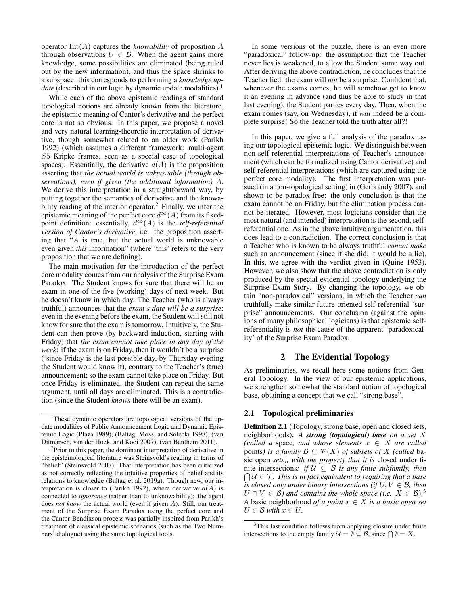operator Int(A) captures the *knowability* of proposition A through observations  $U \in \mathcal{B}$ . When the agent gains more knowledge, some possibilities are eliminated (being ruled out by the new information), and thus the space shrinks to a subspace: this corresponds to performing a *knowledge update* (described in our logic by dynamic update modalities).<sup>[1](#page-1-0)</sup>

While each of the above epistemic readings of standard topological notions are already known from the literature, the epistemic meaning of Cantor's derivative and the perfect core is not so obvious. In this paper, we propose a novel and very natural learning-theoretic interpretation of derivative, though somewhat related to an older work [\(Parikh](#page-9-15) [1992\)](#page-9-15) (which assumes a different framework: multi-agent S5 Kripke frames, seen as a special case of topological spaces). Essentially, the derivative  $d(A)$  is the proposition asserting that *the actual world is unknowable (through observations), even if given (the additional information)* A. We derive this interpretation in a straightforward way, by putting together the semantics of derivative and the knowa-bility reading of the interior operator.<sup>[2](#page-1-1)</sup> Finally, we infer the epistemic meaning of the perfect core  $d^{\infty}(A)$  from its fixedpoint definition: essentially,  $d^{\infty}(A)$  is the *self-referential version of Cantor's derivative*, i.e. the proposition asserting that "A is true, but the actual world is unknowable even given *this* information" (where 'this' refers to the very proposition that we are defining).

The main motivation for the introduction of the perfect core modality comes from our analysis of the Surprise Exam Paradox. The Student knows for sure that there will be an exam in one of the five (working) days of next week. But he doesn't know in which day. The Teacher (who is always truthful) announces that the *exam's date will be a surprise*: even in the evening before the exam, the Student will still not know for sure that the exam is tomorrow. Intuitively, the Student can then prove (by backward induction, starting with Friday) that *the exam cannot take place in any day of the week*: if the exam is on Friday, then it wouldn't be a surprise (-since Friday is the last possible day, by Thursday evening the Student would know it), contrary to the Teacher's (true) announcement; so the exam cannot take place on Friday. But once Friday is eliminated, the Student can repeat the same argument, until all days are eliminated. This is a contradiction (since the Student *knows* there will be an exam).

In some versions of the puzzle, there is an even more "paradoxical" follow-up: the assumption that the Teacher never lies is weakened, to allow the Student some way out. After deriving the above contradiction, he concludes that the Teacher lied: the exam will *not* be a surprise. Confident that, whenever the exams comes, he will somehow get to know it an evening in advance (and thus be able to study in that last evening), the Student parties every day. Then, when the exam comes (say, on Wednesday), it *will* indeed be a complete surprise! So the Teacher told the truth after all?!

In this paper, we give a full analysis of the paradox using our topological epistemic logic. We distinguish between non-self-referential interpretations of Teacher's announcement (which can be formalized using Cantor derivative) and self-referential interpretations (which are captured using the perfect core modality). The first interpretation was pursued (in a non-topological setting) in [\(Gerbrandy 2007\)](#page-9-20), and shown to be paradox-free: the only conclusion is that the exam cannot be on Friday, but the elimination process cannot be iterated. However, most logicians consider that the most natural (and intended) interpretation is the second, selfreferential one. As in the above intuitive argumentation, this does lead to a contradiction. The correct conclusion is that a Teacher who is known to be always truthful *cannot make* such an announcement (since if she did, it would be a lie). In this, we agree with the verdict given in [\(Quine 1953\)](#page-9-21). However, we also show that the above contradiction is only produced by the special evidential topology underlying the Surprise Exam Story. By changing the topology, we obtain "non-paradoxical" versions, in which the Teacher *can* truthfully make similar future-oriented self-referential "surprise" announcements. Our conclusion (against the opinions of many philosophical logicians) is that epistemic selfreferentiality is *not* the cause of the apparent 'paradoxicality' of the Surprise Exam Paradox.

## 2 The Evidential Topology

As preliminaries, we recall here some notions from General Topology. In the view of our epistemic applications, we strengthen somewhat the standard notion of topological base, obtaining a concept that we call "strong base".

#### 2.1 Topological preliminaries

Definition 2.1 (Topology, strong base, open and closed sets, neighborhoods). *A strong (topological) base on a set* X *(called a* space*, and whose elements* x ∈ X *are called* points*)* is a family  $\mathcal{B} \subseteq \mathcal{P}(X)$  of subsets of X (called basic open *sets), with the property that it is* closed under finite intersections: if  $U \subseteq B$  *is any finite subfamily, then*  $\bigcap \mathcal{U} \in \mathcal{T}$ *. This is in fact equivalent to requiring that a base is closed only under binary intersections (if*  $U, V \in \mathcal{B}$ *, then*  $U \cap V \in \mathcal{B}$ ) and contains the whole space (i.e.  $X \in \mathcal{B}$ ).<sup>[3](#page-1-2)</sup> *A* basic neighborhood *of a point* x ∈ X *is a basic open set*  $U \in \mathcal{B}$  *with*  $x \in U$ .

<span id="page-1-0"></span><sup>&</sup>lt;sup>1</sup>These dynamic operators are topological versions of the update modalities of Public Announcement Logic and Dynamic Epistemic Logic [\(Plaza 1989\)](#page-9-16), [\(Baltag, Moss, and Solecki 1998\)](#page-9-17), [\(van](#page-10-1) [Ditmarsch, van der Hoek, and Kooi 2007\)](#page-10-1), [\(van Benthem 2011\)](#page-10-2).

<span id="page-1-1"></span> $2$ Prior to this paper, the dominant interpretation of derivative in the epistemological literature was Steinsvold's reading in terms of "belief" [\(Steinsvold 2007\)](#page-9-18). That interpretation has been criticized as not correctly reflecting the intuitive properties of belief and its relations to knowledge [\(Baltag et al. 2019a\)](#page-9-19). Though new, our in-terpretation is closer to [\(Parikh 1992\)](#page-9-15), where derivative  $d(A)$  is connected to *ignorance* (rather than to unknowability): the agent does *not know* the actual world (even if given A). Still, our treatment of the Surprise Exam Paradox using the perfect core and the Cantor-Bendixson process was partially inspired from Parikh's treatment of classical epistemic scenarios (such as the Two Numbers' dialogue) using the same topological tools.

<span id="page-1-2"></span><sup>&</sup>lt;sup>3</sup>This last condition follows from applying closure under finite intersections to the empty family  $\mathcal{U} = \emptyset \subseteq \mathcal{B}$ , since  $\bigcap \emptyset = X$ .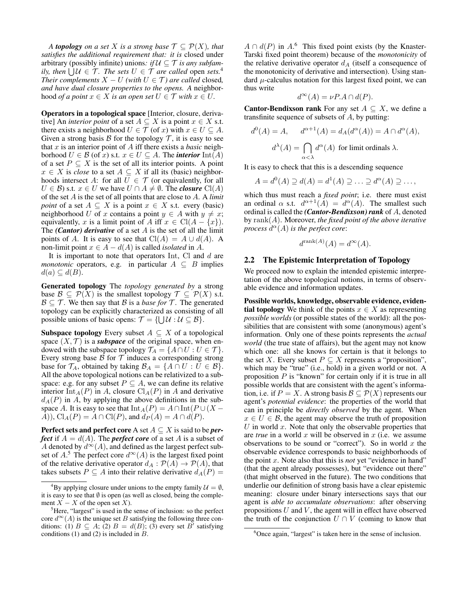*A topology on a set* X *is a strong base*  $\mathcal{T} \subseteq \mathcal{P}(X)$ *, that satisfies the additional requirement that: it is* closed under arbitrary (possibly infinite) unions: if  $U \subseteq T$  *is any subfamily, then*  $\bigcup \mathcal{U} \in \mathcal{T}$ *. The sets*  $U \in \mathcal{T}$  *are called* open *sets.*<sup>[4](#page-2-0)</sup> *Their complements*  $X - U$  *(with*  $U \in \mathcal{T}$ *) are called* closed, *and have dual closure properties to the opens. A* neighborhood *of a point*  $x \in X$  *is an open set*  $U \in \mathcal{T}$  *with*  $x \in U$ *.* 

Operators in a topological space [Interior, closure, derivative] An *interior point* of a set  $A \subseteq X$  is a point  $x \in X$  s.t. there exists a neighborhood  $U \in \mathcal{T}$  (of x) with  $x \in U \subseteq A$ . Given a strong basis  $\beta$  for the topology  $\mathcal{T}$ , it is easy to see that x is an interior point of  $\tilde{A}$  iff there exists a *basic* neighborhood  $U \in \mathcal{B}$  (of x) s.t.  $x \in U \subseteq A$ . The *interior* Int(A) of a set  $P \subseteq X$  is the set of all its interior points. A point  $x \in X$  is *close* to a set  $A \subseteq X$  if all its (basic) neighborhoods intersect A: for all  $\overline{U} \in \mathcal{T}$  (or equivalently, for all  $U \in \mathcal{B}$ ) s.t.  $x \in U$  we have  $U \cap A \neq \emptyset$ . The *closure* Cl(A) of the set A is the set of all points that are close to A. A *limit point* of a set  $A \subseteq X$  is a point  $x \in X$  s.t. every (basic) neighborhood U of x contains a point  $y \in A$  with  $y \neq x$ ; equivalently, x is a limit point of A iff  $x \in \text{Cl}(A - \{x\})$ . The *(Cantor) derivative* of a set A is the set of all the limit points of A. It is easy to see that  $Cl(A) = A \cup d(A)$ . A non-limit point  $x \in A - d(A)$  is called *isolated* in A.

It is important to note that operators Int, Cl and  $d$  are *monotonic* operators, e.g. in particular  $A \subseteq B$  implies  $d(a) \subseteq d(B)$ .

Generated topology The *topology generated by* a strong base  $\mathcal{B} \subseteq \mathcal{P}(X)$  is the smallest topology  $\mathcal{T} \subseteq \mathcal{P}(X)$  s.t.  $\mathcal{B} \subseteq \mathcal{T}$ . We then say that  $\mathcal{B}$  is a *base for*  $\mathcal{T}$ . The generated topology can be explicitly characterized as consisting of all possible unions of basic opens:  $\mathcal{T} = \{ \bigcup \mathcal{U} : \mathcal{U} \subseteq \mathcal{B} \}.$ 

**Subspace topology** Every subset  $A \subseteq X$  of a topological space  $(X, \mathcal{T})$  is a *subspace* of the original space, when endowed with the subspace topology  $\mathcal{T}_A = \{A \cap U : U \in \mathcal{T}\}.$ Every strong base  $\beta$  for  $\mathcal T$  induces a corresponding strong base for  $\mathcal{T}_A$ , obtained by taking  $\mathcal{B}_A = \{A \cap U : U \in \mathcal{B}\}.$ All the above topological notions can be relativized to a subspace: e.g. for any subset  $P \subseteq A$ , we can define its relative interior Int<sub>A</sub>(P) in A, closure Cl<sub>A</sub>(P) in A and derivative  $d_A(P)$  in A, by applying the above definitions in the subspace A. It is easy to see that  $\text{Int}_A(P) = A \cap \text{Int}(P \cup (X -$ A)),  $\text{Cl}_A(P) = A \cap \text{Cl}(P)$ , and  $d_P(A) = A \cap d(P)$ .

**Perfect sets and perfect core** A set  $A \subseteq X$  is said to be *perfect* if  $A = d(A)$ . The *perfect core* of a set A is a subset of A denoted by  $d^{\infty}(A)$ , and defined as the largest perfect subset of  $A^5$  $A^5$ . The perfect core  $d^{\infty}(A)$  is the largest fixed point of the relative derivative operator  $d_A : \mathcal{P}(A) \to \mathcal{P}(A)$ , that takes subsets  $P \subseteq A$  into their relative derivative  $d_A(P) =$ 

 $A \cap d(P)$  in  $A^6$  $A^6$ . This fixed point exists (by the Knaster-Tarski fixed point theorem) because of the *monotonicity* of the relative derivative operator  $d_A$  (itself a consequence of the monotonicity of derivative and intersection). Using standard  $\mu$ -calculus notation for this largest fixed point, we can thus write

$$
d^{\infty}(A) = \nu P A \cap d(P).
$$

**Cantor-Bendixson rank** For any set  $A \subseteq X$ , we define a transfinite sequence of subsets of A, by putting:

$$
d^{0}(A) = A, \quad d^{\alpha+1}(A) = d_{A}(d^{\alpha}(A)) = A \cap d^{\alpha}(A),
$$

$$
d^{\lambda}(A) = \bigcap_{\alpha < \lambda} d^{\alpha}(A) \text{ for limit ordinals } \lambda.
$$

It is easy to check that this is a descending sequence

$$
A = d^{0}(A) \supseteq d(A) = d^{1}(A) \supseteq \ldots \supseteq d^{\alpha}(A) \supseteq \ldots,
$$

which thus must reach a *fixed point*; i.e. there must exist an ordinal  $\alpha$  s.t.  $d^{\alpha+1}(A) = d^{\alpha}(A)$ . The smallest such ordinal is called the *(Cantor-Bendixson) rank* of A, denoted by rank(A). Moreover, *the fixed point of the above iterative process*  $d^{\alpha}(A)$  *is the perfect core:* 

$$
d^{\operatorname{rank}(A)}(A) = d^{\infty}(A).
$$

## 2.2 The Epistemic Interpretation of Topology

We proceed now to explain the intended epistemic interpretation of the above topological notions, in terms of observable evidence and information updates.

Possible worlds, knowledge, observable evidence, eviden**tial topology** We think of the points  $x \in X$  as representing *possible worlds* (or possible states of the world): all the possibilities that are consistent with some (anonymous) agent's information. Only one of these points represents the *actual world* (the true state of affairs), but the agent may not know which one: all she knows for certain is that it belongs to the set X. Every subset  $P \subseteq X$  represents a "proposition", which may be "true" (i.e., hold) in a given world or not. A proposition  $P$  is "known" for certain only if it is true in all possible worlds that are consistent with the agent's information, i.e. if  $P = X$ . A strong basis  $\mathcal{B} \subseteq \mathcal{P}(X)$  represents our agent's *potential evidence*: the properties of the world that can in principle be *directly observed* by the agent. When  $x \in U \in \mathcal{B}$ , the agent may observe the truth of proposition U in world  $x$ . Note that only the observable properties that are *true* in a world x will be observed in x (i.e. we assume observations to be sound or "correct"). So in world  $x$  the observable evidence corresponds to basic neighborhoods of the point x. Note also that this is *not* yet "evidence in hand" (that the agent already possesses), but "evidence out there" (that might observed in the future). The two conditions that underlie our definition of strong basis have a clear epistemic meaning: closure under binary intersections says that our agent is *able to accumulate observations*: after observing propositions  $U$  and  $V$ , the agent will in effect have observed the truth of the conjunction  $U \cap V$  (coming to know that

<span id="page-2-0"></span><sup>&</sup>lt;sup>4</sup>By applying closure under unions to the empty family  $\mathcal{U} = \emptyset$ , it is easy to see that  $\emptyset$  is open (as well as closed, being the complement  $X - X$  of the open set X).

<span id="page-2-1"></span> ${}^{5}$ Here, "largest" is used in the sense of inclusion: so the perfect core  $d^{\infty}(A)$  is the unique set B satisfying the following three conditions: (1)  $B \subseteq A$ ; (2)  $B = d(B)$ ; (3) every set  $B'$  satisfying conditions (1) and (2) is included in  $B$ .

<span id="page-2-2"></span><sup>&</sup>lt;sup>6</sup>Once again, "largest" is taken here in the sense of inclusion.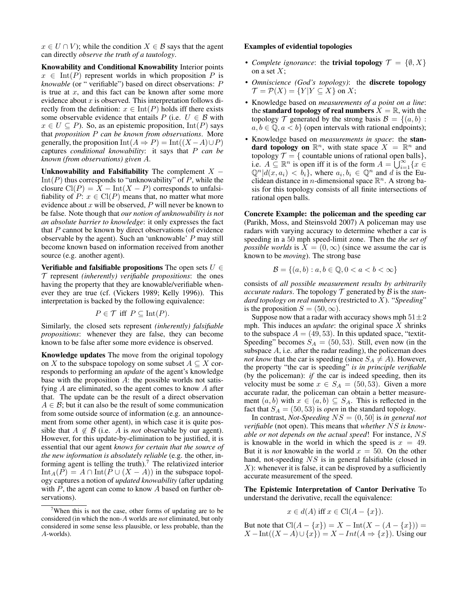$x \in U \cap V$ ; while the condition  $X \in \mathcal{B}$  says that the agent can directly *observe the truth of a tautology*.

Knowability and Conditional Knowability Interior points  $x \in Int(P)$  represent worlds in which proposition P is *knowable* (or " verifiable") based on direct observations: P is true at  $x$ , and this fact can be known after some more evidence about  $x$  is observed. This interpretation follows directly from the definition:  $x \in \text{Int}(P)$  holds iff there exists some observable evidence that entails P (i.e.  $U \in \mathcal{B}$  with  $x \in U \subseteq P$ ). So, as an epistemic proposition, Int(P) says that *proposition* P *can be known from observations*. More generally, the proposition Int( $A \Rightarrow P$ ) = Int( $(X - A) \cup P$ ) captures *conditional knowability*: it says that P *can be known (from observations) given* A.

Unknowability and Falsifiability The complement  $X Int(P)$  thus corresponds to "unknowability" of P, while the closure  $Cl(P) = X - Int(X - P)$  corresponds to unfalsifiability of  $P: x \in \mathrm{Cl}(P)$  means that, no matter what more evidence about  $x$  will be observed,  $P$  will never be known to be false. Note though that *our notion of unknowability is not an absolute barrier to knowledge*: it only expresses the fact that  $P$  cannot be known by direct observations (of evidence observable by the agent). Such an 'unknowable' P may still become known based on information received from another source (e.g. another agent).

Verifiable and falsifiable propositions The open sets  $U \in$ T represent *(inherently) verifiable propositions*: the ones having the property that they are knowable/verifiable whenever they are true (cf. [\(Vickers 1989;](#page-10-0) [Kelly 1996\)](#page-9-3)). This interpretation is backed by the following equivalence:

$$
P \in \mathcal{T} \text{ iff } P \subseteq \text{Int}(P).
$$

Similarly, the closed sets represent *(inherently) falsifiable propositions*: whenever they are false, they can become known to be false after some more evidence is observed.

Knowledge updates The move from the original topology on X to the subspace topology on some subset  $A \subseteq X$  corresponds to performing an *update* of the agent's knowledge base with the proposition A: the possible worlds not satisfying A are eliminated, so the agent comes to know A after that. The update can be the result of a direct observation  $A \in \mathcal{B}$ ; but it can also be the result of some communication from some outside source of information (e.g. an announcement from some other agent), in which case it is quite possible that  $A \notin \mathcal{B}$  (i.e. A is *not* observable by our agent). However, for this update-by-elimination to be justified, it is essential that our agent *knows for certain that the source of the new information is absolutely reliable* (e.g. the other, in-forming agent is telling the truth).<sup>[7](#page-3-0)</sup> The relativized interior  $Int_A(P) = A \cap Int(P \cup (X - A))$  in the subspace topology captures a notion of *updated knowability* (after updating with  $P$ , the agent can come to know  $A$  based on further observations).

#### Examples of evidential topologies

- *Complete ignorance*: the **trivial topology**  $\mathcal{T} = \{\emptyset, X\}$ on a set  $X$ :
- *Omniscience (God's topology)*: the discrete topology  $\mathcal{T} = \mathcal{P}(X) = \{Y | Y \subseteq X\}$  on X;
- Knowledge based on *measurements of a point on a line*: the standard topology of real numbers  $X = \mathbb{R}$ , with the topology  $\mathcal T$  generated by the strong basis  $\mathcal B = \{(a, b) :$  $a, b \in \mathbb{Q}, a < b$  (open intervals with rational endpoints);
- Knowledge based on *measurements in space*: the standard topology on  $\mathbb{R}^n$ , with state space  $X = \mathbb{R}^n$  and topology  $\mathcal{T} = \{$  countable unions of rational open balls $\},$ i.e.  $A \subseteq \mathbb{R}^n$  is open iff it is of the form  $A = \bigcup_{i=1}^{\infty} \{x \in$  $\mathbb{Q}^n | d(x, a_i) < b_i$ , where  $a_i, b_i \in \mathbb{Q}^n$  and d is the Euclidean distance in *n*-dimensional space  $\mathbb{R}^n$ . A strong basis for this topology consists of all finite intersections of rational open balls.

Concrete Example: the policeman and the speeding car [\(Parikh, Moss, and Steinsvold 2007\)](#page-9-22) A policeman may use radars with varying accuracy to determine whether a car is speeding in a 50 mph speed-limit zone. Then the *the set of possible worlds* is  $X = (0, \infty)$  (since we assume the car is known to be *moving*). The strong base

$$
\mathcal{B} = \{(a, b) : a, b \in \mathbb{Q}, 0 < a < b < \infty\}
$$

consists of *all possible measurement results by arbitrarily accurate radars.* The topology  $\mathcal T$  generated by  $\mathcal B$  is the *standard topology on real numbers* (restricted to X). "*Speeding*" is the proposition  $S = (50, \infty)$ .

Suppose now that a radar with accuracy shows mph  $51 \pm 2$ mph. This induces an *update*: the original space X shrinks to the subspace  $A = (49, 53)$ . In this updated space, "textit-Speeding" becomes  $S_A = (50, 53)$ . Still, even now (in the subspace A, i.e. after the radar reading), the policeman does *not know* that the car is speeding (since  $S_A \neq A$ ). However, the property "the car is speeding" *is in principle verifiable* (by the policeman): *if* the car is indeed speeding, then its velocity must be some  $x \in S_A = (50, 53)$ . Given a more accurate radar, the policeman can obtain a better measurement  $(a, b)$  with  $x \in (a, b) \subseteq S_A$ . This is reflected in the fact that  $S_A = (50, 53)$  is *open* in the standard topology.

In contrast, *Not-Speeding* NS = (0, 50] is *in general not verifiable* (not open). This means that *whether* NS *is knowable or not depends on the actual speed*! For instance, NS is knowable in the world in which the speed is  $x = 49$ . But it is *not* knowable in the world  $x = 50$ . On the other hand, not-speeding NS is in general falsifiable (closed in  $X$ ): whenever it is false, it can be disproved by a sufficiently accurate measurement of the speed.

The Epistemic Interpretation of Cantor Derivative To understand the derivative, recall the equivalence:

$$
x \in d(A) \text{ iff } x \in \text{Cl}(A - \{x\}).
$$

But note that  $Cl(A - \{x\}) = X - Int(X - (A - \{x\})) =$  $X - \text{Int}((X - A) \cup \{x\}) = X - \text{Int}(A \Rightarrow \{x\})$ . Using our

<span id="page-3-0"></span><sup>7</sup>When this is not the case, other forms of updating are to be considered (in which the non-A worlds are *not* eliminated, but only considered in some sense less plausible, or less probable, than the A-worlds).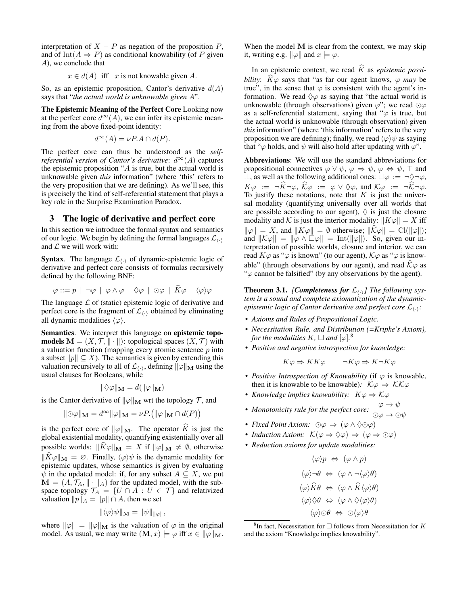interpretation of  $X - P$  as negation of the proposition  $P$ , and of Int $(A \Rightarrow P)$  as conditional knowability (of P given A), we conclude that

$$
x \in d(A)
$$
 iff x is not knownable given A.

So, as an epistemic proposition, Cantor's derivative  $d(A)$ says that "*the actual world is unknowable given* A".

The Epistemic Meaning of the Perfect Core Looking now at the perfect core  $d^{\infty}(A)$ , we can infer its epistemic meaning from the above fixed-point identity:

$$
d^{\infty}(A) = \nu P \cdot A \cap d(P).
$$

The perfect core can thus be understood as the *selfreferential version of Cantor's derivative:*  $d^{\infty}(A)$  captures the epistemic proposition " $A$  is true, but the actual world is unknowable given *this* information" (where 'this' refers to the very proposition that we are defining). As we'll see, this is precisely the kind of self-referential statement that plays a key role in the Surprise Examination Paradox.

#### 3 The logic of derivative and perfect core

In this section we introduce the formal syntax and semantics of our logic. We begin by defining the formal languages  $\mathcal{L}_{\langle \cdot \rangle}$ and  $\mathcal L$  we will work with:

**Syntax**. The language  $\mathcal{L}_{\langle \cdot \rangle}$  of dynamic-epistemic logic of derivative and perfect core consists of formulas recursively defined by the following BNF:

$$
\varphi ::= p \mid \neg \varphi \mid \varphi \land \varphi \mid \Diamond \varphi \mid \odot \varphi \mid \widehat{K}\varphi \mid \langle \varphi \rangle \varphi
$$

The language  $\mathcal L$  of (static) epistemic logic of derivative and perfect core is the fragment of  $\mathcal{L}_{\langle \cdot \rangle}$  obtained by eliminating all dynamic modalities  $\langle \varphi \rangle$ .

Semantics. We interpret this language on epistemic topo**models**  $M = (X, \mathcal{T}, || \cdot ||)$ : topological spaces  $(X, \mathcal{T})$  with a valuation function (mapping every atomic sentence  $p$  into a subset  $||p|| \subseteq X$ ). The semantics is given by extending this valuation recursively to all of  $\mathcal{L}_{\langle \cdot \rangle}$ , defining  $\|\varphi\|_{\mathbf{M}}$  using the usual clauses for Booleans, while

$$
\|\Diamond \varphi\|_{\mathbf{M}} = d(\|\varphi\|_{\mathbf{M}})
$$

is the Cantor derivative of  $\|\varphi\|_{\mathbf{M}}$  wrt the topology  $\mathcal{T}$ , and

$$
\|\odot\varphi\|_{\mathbf{M}} = d^{\infty}\|\varphi\|_{\mathbf{M}} = \nu P.\big(\|\varphi\|_{\mathbf{M}} \cap d(P)\big)
$$

is the perfect core of  $\|\varphi\|_{\mathbf{M}}$ . The operator  $\hat{K}$  is just the global existential modality, quantifying existentially over all possible worlds:  $||K\varphi||_{\mathbf{M}} = X$  if  $||\varphi||_{\mathbf{M}} \neq \emptyset$ , otherwise  $\|\widehat{K}\varphi\|_{\mathbf{M}} = \varnothing$ . Finally,  $\langle \varphi \rangle \psi$  is the dynamic modality for epistemic updates, whose semantics is given by evaluating  $\psi$  in the updated model: if, for any subset  $A \subseteq X$ , we put  $\mathbf{M} = (A, \mathcal{T}_A, \|\cdot\|_A)$  for the updated model, with the subspace topology  $\mathcal{T}_A = \{U \cap A : U \in \mathcal{T}\}\$ and relativized valuation  $||p||_A = ||p|| \cap A$ , then we set

$$
\|\langle \varphi \rangle \psi\|_{\mathbf{M}} = \|\psi\|_{\|\varphi\|},
$$

where  $\|\varphi\| = \|\varphi\|_{\mathbf{M}}$  is the valuation of  $\varphi$  in the original model. As usual, we may write  $(M, x) \models \varphi$  iff  $x \in ||\varphi||_M$ . When the model M is clear from the context, we may skip it, writing e.g.  $\|\varphi\|$  and  $x \models \varphi$ .

In an epistemic context, we read  $\hat{K}$  as *epistemic possibility:*  $\hat{K}\varphi$  says that "as far our agent knows,  $\varphi$  *may* be true", in the sense that  $\varphi$  is consistent with the agent's information. We read  $\Diamond \varphi$  as saying that "the actual world is unknowable (through observations) given  $\varphi$ "; we read  $\odot \varphi$ as a self-referential statement, saying that " $\varphi$  is true, but the actual world is unknowable (through observation) given *this* information" (where 'this information' refers to the very proposition we are defining); finally, we read  $\langle \varphi \rangle \psi$  as saying that " $\varphi$  holds, and  $\psi$  will also hold after updating with  $\varphi$ ".

Abbreviations: We will use the standard abbreviations for propositional connectives  $\varphi \lor \psi$ ,  $\varphi \Rightarrow \psi$ ,  $\varphi \Leftrightarrow \psi$ ,  $\top$  and  $\bot$ , as well as the following additional ones:  $\Box \varphi := \neg \Diamond \neg \varphi$ ,  $K\varphi := \neg \widehat{K} \neg \varphi$ ,  $\widehat{\mathcal{K}}\varphi := \varphi \vee \Diamond \varphi$ , and  $\mathcal{K}\varphi := \neg \widehat{\mathcal{K}} \neg \varphi$ . To justify these notations, note that  $K$  is just the universal modality (quantifying universally over all worlds that are possible according to our agent),  $\Diamond$  is just the closure modality and K is just the interior modality:  $||K\varphi|| = X$  iff  $\|\varphi\| = X$ , and  $\|K\varphi\| = \emptyset$  otherwise;  $\|\mathcal{K}\varphi\| = \mathrm{Cl}(\|\varphi\|);$ and  $\|\mathcal{K}\varphi\| = \|\varphi \wedge \Box \varphi\| = \mathrm{Int}(\|\varphi\|).$  So, given our interpretation of possible worlds, closure and interior, we can read  $K\varphi$  as " $\varphi$  is known" (to our agent),  $K\varphi$  as " $\varphi$  is knowable" (through observations by our agent), and read  $\widehat{\mathcal{K}}\varphi$  as " $\varphi$  cannot be falsified" (by any observations by the agent).

<span id="page-4-1"></span>**Theorem 3.1.** [*Completeness for*  $\mathcal{L}_{\langle \cdot \rangle}$ ] The following sys*tem is a sound and complete axiomatization of the dynamicepistemic logic of Cantor derivative and perfect core*  $\mathcal{L}_{\langle \cdot \rangle}$ *:* 

- *Axioms and Rules of Propositional Logic.*
- *Necessitation Rule, and Distribution (=Kripke's Axiom), for the modalities*  $K, \Box$  *and*  $[\varphi]$ .<sup>[8](#page-4-0)</sup>
- *Positive and negative introspection for knowledge:*

 $K\varphi \Rightarrow KK\varphi \qquad \neg K\varphi \Rightarrow K\neg K\varphi$ 

- *Positive Introspection of Knowability* (if ϕ is knowable, then it is knowable to be knowable):  $K\varphi \Rightarrow \mathcal{K}\mathcal{K}\varphi$
- *Knowledge implies knowability:*  $K\varphi \Rightarrow \mathcal{K}\varphi$
- *Monotonicity rule for the perfect core:*  $\frac{\varphi \to \psi}{\odot \varphi \to \odot \psi}$
- *Fixed Point Axiom:*  $\odot \varphi \Rightarrow (\varphi \wedge \Diamond \odot \varphi)$
- *Induction Axiom:*  $\mathcal{K}(\varphi \Rightarrow \Diamond \varphi) \Rightarrow (\varphi \Rightarrow \Diamond \varphi)$
- *Reduction axioms for update modalities:*

$$
\langle \varphi \rangle p \Leftrightarrow (\varphi \land p)
$$
  

$$
\langle \varphi \rangle \neg \theta \Leftrightarrow (\varphi \land \neg \langle \varphi \rangle \theta)
$$
  

$$
\langle \varphi \rangle \widehat{K} \theta \Leftrightarrow (\varphi \land \widehat{K} \langle \varphi \rangle \theta)
$$
  

$$
\langle \varphi \rangle \Diamond \theta \Leftrightarrow (\varphi \land \Diamond \langle \varphi \rangle \theta)
$$
  

$$
\langle \varphi \rangle \odot \theta \Leftrightarrow \bigcirc \langle \varphi \rangle \theta
$$

<span id="page-4-0"></span><sup>&</sup>lt;sup>8</sup>In fact, Necessitation for  $\Box$  follows from Necessitation for K and the axiom "Knowledge implies knowability".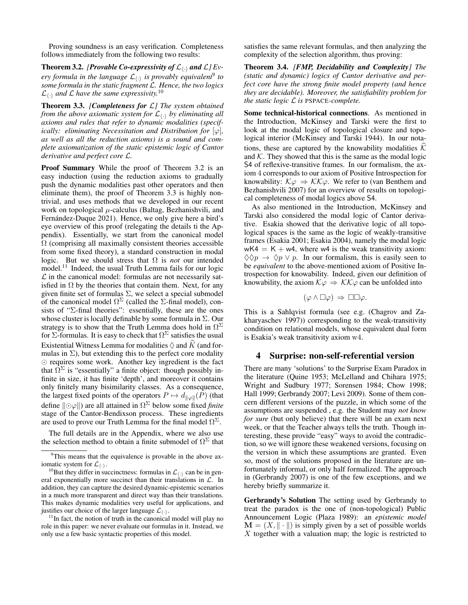Proving soundness is an easy verification. Completeness follows immediately from the following two results:

<span id="page-5-2"></span>**Theorem 3.2.** *[Provable Co-expressivity of*  $\mathcal{L}_{\langle \cdot \rangle}$  *and*  $\mathcal{L}$ *] Every formula in the language*  $\mathcal{L}_{\langle \cdot \rangle}$  *is provably equivalent*<sup>[9](#page-5-0)</sup> to *some formula in the static fragment* L*. Hence, the two logics*  $\mathcal{L}_{\langle \cdot \rangle}$  and  $\mathcal L$  *have the same expressivity.*<sup>[10](#page-5-1)</sup>

<span id="page-5-3"></span>Theorem 3.3. *[Completeness for* L*] The system obtained from the above axiomatic system for*  $\mathcal{L}_{\langle \cdot \rangle}$  *by eliminating all axioms and rules that refer to dynamic modalities (specifically: eliminating Necessitation and Distribution for*  $[\varphi]$ *, as well as all the reduction axioms) is a sound and complete axiomatization of the static epistemic logic of Cantor derivative and perfect core* L*.*

Proof Summary While the proof of Theorem [3.2](#page-5-2) is an easy induction (using the reduction axioms to gradually push the dynamic modalities past other operators and then eliminate them), the proof of Theorem [3.3](#page-5-3) is highly nontrivial, and uses methods that we developed in our recent work on topological  $\mu$ -calculus [\(Baltag, Bezhanishvili, and](#page-9-12) Fernández-Duque 2021). Hence, we only give here a bird's eye overview of this proof (relegating the details ti the Appendix). Essentially, we start from the canonical model  $\Omega$  (comprising all maximally consistent theories accessible from some fixed theory), a standard construction in modal logic. But we should stress that Ω is *not* our intended model.[11](#page-5-4) Indeed, the usual Truth Lemma fails for our logic  $\mathcal L$  in the canonical model: formulas are not necessarily satisfied in  $\Omega$  by the theories that contain them. Next, for any given finite set of formulas  $\Sigma$ , we select a special submodel of the canonical model  $\Omega^{\Sigma}$  (called the  $\Sigma$ -final model), consists of "Σ-final theories": essentially, these are the ones whose cluster is locally definable by some formula in  $\Sigma$ . Our strategy is to show that the Truth Lemma does hold in  $\Omega^{\Sigma}$ for  $\Sigma$ -formulas. It is easy to check that  $\Omega^{\Sigma}$  satisfies the usual Existential Witness Lemma for modalities  $\Diamond$  and  $\widehat{K}$  (and formulas in  $\Sigma$ ), but extending this to the perfect core modality  $\odot$  requires some work. Another key ingredient is the fact that  $\Omega^{\Sigma}$  is "essentially" a finite object: though possibly infinite in size, it has finite 'depth', and moreover it contains only finitely many bisimilarity classes. As a consequence, the largest fixed points of the operators  $P \mapsto d_{\parallel \varphi \parallel}(P)$  (that define  $\|\odot \varphi\|$ ) are all attained in  $\Omega^{\Sigma}$  below some fixed *finite* stage of the Cantor-Bendixson process. These ingredients are used to prove our Truth Lemma for the final model  $\Omega^{\Sigma}$ .

The full details are in the Appendix, where we also use the selection method to obtain a finite submodel of  $\Omega^{\Sigma}$  that

satisfies the same relevant formulas, and then analyzing the complexity of the selection algorithm, thus proving:

<span id="page-5-5"></span>Theorem 3.4. *[FMP, Decidability and Complexity] The (static and dynamic) logics of Cantor derivative and perfect core have the strong finite model property (and hence they are decidable). Moreover, the satisfiability problem for the static logic* L *is* PSPACE*-complete.*

Some technical-historical connections. As mentioned in the Introduction, McKinsey and Tarski were the first to look at the modal logic of topological closure and topological interior [\(McKinsey and Tarski 1944\)](#page-9-1). In our notations, these are captured by the knowability modalities  $\hat{\mathcal{K}}$ and  $K$ . They showed that this is the same as the modal logic S4 of reflexive-transitive frames. In our formalism, the axiom 4 corresponds to our axiom of Positive Introspection for knowability:  $K\varphi \Rightarrow KK\varphi$ . We refer to [\(van Benthem and](#page-9-23) [Bezhanishvili 2007\)](#page-9-23) for an overview of results on topological completeness of modal logics above S4.

As also mentioned in the Introduction, McKinsey and Tarski also considered the modal logic of Cantor derivative. Esakia showed that the derivative logic of all topological spaces is the same as the logic of weakly-transitive frames [\(Esakia 2001;](#page-9-10) [Esakia 2004\)](#page-9-24), namely the modal logic  $wK4 = K + w4$ , where w4 is the weak transitivity axiom:  $\Diamond \Diamond p \rightarrow \Diamond p \lor p$ . In our formalism, this is easily seen to be *equivalent* to the above-mentioned axiom of Positive Introspection for knowability. Indeed, given our definition of knowability, the axiom  $K\varphi \Rightarrow \mathcal{K}\mathcal{K}\varphi$  can be unfolded into

$$
(\varphi \wedge \Box \varphi) \Rightarrow \Box \Box \varphi.
$$

This is a Sahlqvist formula (see e.g. [\(Chagrov and Za](#page-9-25)[kharyaschev 1997\)](#page-9-25)) corresponding to the weak-transitivity condition on relational models, whose equivalent dual form is Esakia's weak transitivity axiom w4.

#### 4 Surprise: non-self-referential version

There are many 'solutions' to the Surprise Exam Paradox in the literature [\(Quine 1953;](#page-9-21) [McLelland and Chihara 1975;](#page-9-26) [Wright and Sudbury 1977;](#page-10-3) [Sorensen 1984;](#page-9-27) [Chow 1998;](#page-9-28) [Hall 1999;](#page-9-29) [Gerbrandy 2007;](#page-9-20) [Levi 2009\)](#page-9-30). Some of them concern different versions of the puzzle, in which some of the assumptions are suspended , e.g. the Student may *not know for sure* (but only believe) that there will be an exam next week, or that the Teacher always tells the truth. Though interesting, these provide "easy" ways to avoid the contradiction, so we will ignore these weakened versions, focusing on the version in which these assumptions are granted. Even so, most of the solutions proposed in the literature are unfortunately informal, or only half formalized. The approach in [\(Gerbrandy 2007\)](#page-9-20) is one of the few exceptions, and we hereby briefly summarize it.

Gerbrandy's Solution The setting used by Gerbrandy to treat the paradox is the one of (non-topological) Public Announcement Logic [\(Plaza 1989\)](#page-9-16): an *epistemic model*  $\mathbf{M} = (X, \|\cdot\|)$  is simply given by a set of possible worlds  $X$  together with a valuation map; the logic is restricted to

<span id="page-5-0"></span><sup>&</sup>lt;sup>9</sup>This means that the equivalence is provable in the above axiomatic system for  $\mathcal{L}_{\langle . \rangle}$ .

<span id="page-5-1"></span><sup>&</sup>lt;sup>10</sup>But they differ in succinctness: formulas in  $\mathcal{L}_{\langle \cdot \rangle}$  can be in general exponentially more succinct than their translations in  $\mathcal{L}$ . In addition, they can capture the desired dynamic-epistemic scenarios in a much more transparent and direct way than their translations. This makes dynamic modalities very useful for applications, and justifies our choice of the larger language  $\mathcal{L}_{\langle \cdot \rangle}$ .

<span id="page-5-4"></span> $11$ In fact, the notion of truth in the canonical model will play no role in this paper: we never evaluate our formulas in it. Instead, we only use a few basic syntactic properties of this model.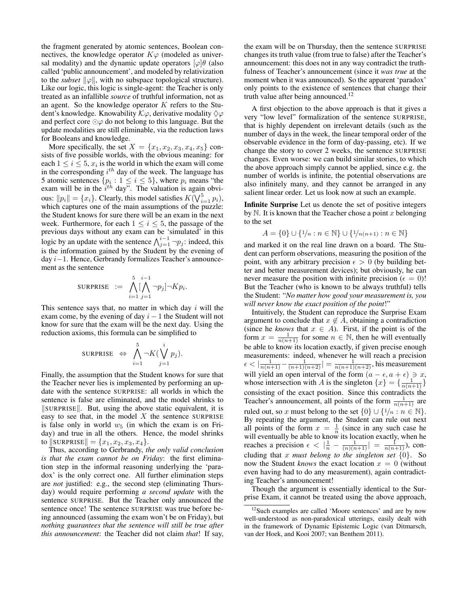the fragment generated by atomic sentences, Boolean connectives, the knowledge operator  $K\varphi$  (modeled as universal modality) and the dynamic update operators  $\lbrack \varphi \rbrack \theta$  (also called 'public announcement', and modeled by relativization to the *subset*  $\|\varphi\|$ , with no subspace topological structure). Like our logic, this logic is single-agent: the Teacher is only treated as an infallible *source* of truthful information, not as an agent. So the knowledge operator  $K$  refers to the Student's knowledge. Knowability  $K\varphi$ , derivative modality  $\Diamond \varphi$ and perfect core  $\odot\varphi$  do not belong to this language. But the update modalities are still eliminable, via the reduction laws for Booleans and knowledge.

More specifically, the set  $X = \{x_1, x_2, x_3, x_4, x_5\}$  consists of five possible worlds, with the obvious meaning: for each  $1 \leq i \leq 5$ ,  $x_i$  is the world in which the exam will come in the corresponding  $i^{th}$  day of the week. The language has 5 atomic sentences  $\{p_i: 1 \le i \le 5\}$ , where  $p_i$  means "the exam will be in the  $i<sup>th</sup>$  day". The valuation is again obvious:  $||p_i|| = \{x_i\}$ . Clearly, this model satisfies  $K(\bigvee_{i=1}^5 p_i)$ , which captures one of the main assumptions of the puzzle: the Student knows for sure there will be an exam in the next week. Furthermore, for each  $1 \le i \le 5$ , the passage of the previous days without any exam can be 'simulated' in this logic by an update with the sentence  $\bigwedge_{j=1}^{i-1} \neg p_j$ : indeed, this is the information gained by the Student by the evening of day i−1. Hence, Gerbrandy formalizes Teacher's announcement as the sentence

$$
\text{ SURPRISE} := \bigwedge_{i=1}^{5} [\bigwedge_{j=1}^{i-1} \neg p_j] \neg K p_i.
$$

This sentence says that, no matter in which day  $i$  will the exam come, by the evening of day  $i - 1$  the Student will not know for sure that the exam will be the next day. Using the reduction axioms, this formula can be simplified to

$$
\text{ SURPRISE} \Leftrightarrow \bigwedge_{i=1}^5 \neg K(\bigvee_{j=1}^i p_j).
$$

Finally, the assumption that the Student knows for sure that the Teacher never lies is implemented by performing an update with the sentence SURPRISE: all worlds in which the sentence is false are eliminated, and the model shrinks to  $\|\text{SURPRISE}\|$ . But, using the above static equivalent, it is easy to see that, in the model  $X$  the sentence SURPRISE is false only in world  $w_5$  (in which the exam is on Friday) and true in all the others. Hence, the model shrinks to  $\|$ SURPRISE $\| = \{x_1, x_2, x_3, x_4\}.$ 

Thus, according to Gerbrandy, *the only valid conclusion is that the exam cannot be on Friday*: the first elimination step in the informal reasoning underlying the 'paradox' is the only correct one. All further elimination steps are *not* justified: e.g., the second step (eliminating Thursday) would require performing *a second update* with the sentence SURPRISE. But the Teacher only announced the sentence once! The sentence SURPRISE was true before being announced (assuming the exam won't be on Friday), but *nothing guarantees that the sentence will still be true after this announcement*: the Teacher did not claim *that*! If say,

the exam will be on Thursday, then the sentence SURPRISE changes its truth value (from true to false) after the Teacher's announcement: this does not in any way contradict the truthfulness of Teacher's announcement (since it *was true* at the moment when it was announced). So the apparent 'paradox' only points to the existence of sentences that change their truth value after being announced.<sup>[12](#page-6-0)</sup>

A first objection to the above approach is that it gives a very "low level" formalization of the sentence SURPRISE, that is highly dependent on irrelevant details (such as the number of days in the week, the linear temporal order of the observable evidence in the form of day-passing, etc). If we change the story to cover 2 weeks, the sentence SURPRISE changes. Even worse: we can build similar stories, to which the above approach simply cannot be applied, since e.g. the number of worlds is infinite, the potential observations are also infinitely many, and they cannot be arranged in any salient linear order. Let us look now at such an example.

Infinite Surprise Let us denote the set of positive integers by N. It is known that the Teacher chose a point x belonging to the set

$$
A = \{0\} \cup \{1/n : n \in \mathbb{N}\} \cup \{1/n(n+1) : n \in \mathbb{N}\}\
$$

and marked it on the real line drawn on a board. The Student can perform observations, measuring the position of the point, with any arbitrary precision  $\epsilon > 0$  (by building better and better measurement devices); but obviously, he can never measure the position with infinite precision ( $\epsilon = 0$ )! But the Teacher (who is known to be always truthful) tells the Student: "*No matter how good your measurement is, you will never know the exact position of the point*!"

Intuitively, the Student can reproduce the Surprise Exam argument to conclude that  $x \notin A$ , obtaining a contradiction (since he *knows* that  $x \in A$ ). First, if the point is of the form  $x = \frac{1}{n(n+1)}$  for some  $n \in \mathbb{N}$ , then he will eventually be able to know its location exactly, if given precise enough measurements: indeed, whenever he will reach a precision  $\epsilon < |\frac{1}{n(n+1)} - \frac{1}{(n+1)(n+2)}| = \frac{1}{n(n+1)(n+2)}$ , his measurement will yield an open interval of the form  $(a - \epsilon, a + \epsilon) \ni x$ , whose intersection with A is the singleton  $\{x\} = \{\frac{1}{n(n+1)}\}$ consisting of the exact position. Since this contradicts the Teacher's announcement, all points of the form  $\frac{1}{n(n+1)}$  are ruled out, so x must belong to the set  $\{0\} \cup \{1/n : n \in \mathbb{N}\}.$ By repeating the argument, the Student can rule out next all points of the form  $x = \frac{1}{n}$  (since in any such case he will eventually be able to know its location exactly, when he reaches a precision  $\epsilon < \left|\frac{1}{n} - \frac{1}{(n)(n+1)}\right| = \frac{1}{n(n+1)}$ , concluding that x *must belong to the singleton set* {0}. So now the Student *knows* the exact location  $x = 0$  (without even having had to do any measurement), again contradicting Teacher's announcement!

Though the argument is essentially identical to the Surprise Exam, it cannot be treated using the above approach,

<span id="page-6-0"></span><sup>&</sup>lt;sup>12</sup> Such examples are called 'Moore sentences' and are by now well-understood as non-paradoxical utterings, easily dealt with in the framework of Dynamic Epistemic Logic [\(van Ditmarsch,](#page-10-1) [van der Hoek, and Kooi 2007;](#page-10-1) [van Benthem 2011\)](#page-10-2).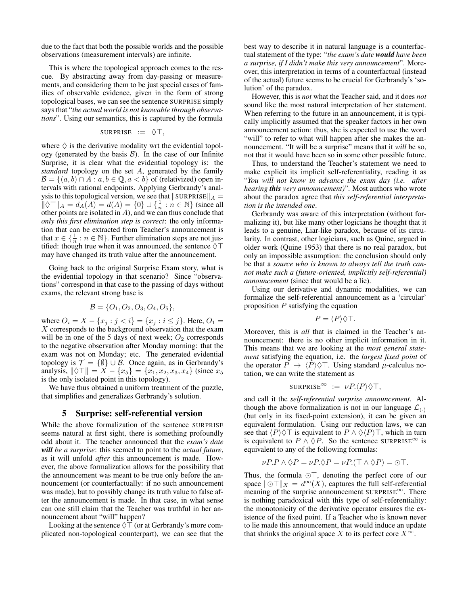due to the fact that both the possible worlds and the possible observations (measurement intervals) are infinite.

This is where the topological approach comes to the rescue. By abstracting away from day-passing or measurements, and considering them to be just special cases of families of observable evidence, given in the form of strong topological bases, we can see the sentence SURPRISE simply says that "*the actual world is not knowable through observations*". Using our semantics, this is captured by the formula

$$
\text{supprise} := \Diamond \top,
$$

where  $\Diamond$  is the derivative modality wrt the evidential topology (generated by the basis  $B$ ). In the case of our Infinite Surprise, it is clear what the evidential topology is: the *standard* topology on the set A, generated by the family  $\mathcal{B} = \{(a, b) \cap A : a, b \in \mathbb{Q}, a < b\}$  of (relativized) open intervals with rational endpoints. Applying Gerbrandy's analysis to this topological version, we see that  $\|\text{supp} \|_A =$  $\|\Diamond \top \|_A = d_A(A) = d(A) = \{0\} \cup \{\frac{1}{n} : n \in \mathbb{N}\}\$  (since all other points are isolated in  $A$ ), and we can thus conclude that *only this first elimination step is correct*: the only information that can be extracted from Teacher's announcement is that  $x \in \{\frac{1}{n} : n \in \mathbb{N}\}$ . Further elimination steps are not justified: though true when it was announced, the sentence  $\Diamond$  T may have changed its truth value after the announcement.

Going back to the original Surprise Exam story, what is the evidential topology in that scenario? Since "observations" correspond in that case to the passing of days without exams, the relevant strong base is

$$
\mathcal{B} = \{O_1, O_2, O_3, O_4, O_5\},\
$$

where  $O_i = X - \{x_j : j < i\} = \{x_j : i \le j\}$ . Here,  $O_1 =$  $X$  corresponds to the background observation that the exam will be in one of the 5 days of next week;  $O_2$  corresponds to the negative observation after Monday morning: that the exam was not on Monday; etc. The generated evidential topology is  $\mathcal{T} = \{\emptyset\} \cup \mathcal{B}$ . Once again, as in Gerbrandy's analysis,  $\|\lozenge\top\| = X - \{x_5\} = \{x_1, x_2, x_3, x_4\}$  (since  $x_5$ ) is the only isolated point in this topology).

We have thus obtained a uniform treatment of the puzzle, that simplifies and generalizes Gerbrandy's solution.

#### 5 Surprise: self-referential version

While the above formalization of the sentence SURPRISE seems natural at first sight, there is something profoundly odd about it. The teacher announced that the *exam's date will be a surprise*: this seemed to point to the *actual future*, as it will unfold *after* this announcement is made. However, the above formalization allows for the possibility that the announcement was meant to be true only before the announcement (or counterfactually: if no such announcement was made), but to possibly change its truth value to false after the announcement is made. In that case, in what sense can one still claim that the Teacher was truthful in her announcement about "will" happen?

Looking at the sentence  $\Diamond \top$  (or at Gerbrandy's more complicated non-topological counterpart), we can see that the best way to describe it in natural language is a counterfactual statement of the type: "*the exam's date would have been a surprise, if I didn't make this very announcement*". Moreover, this interpretation in terms of a counterfactual (instead of the actual) future seems to be crucial for Gerbrandy's 'solution' of the paradox.

However, this is *not* what the Teacher said, and it does *not* sound like the most natural interpretation of her statement. When referring to the future in an announcement, it is typically implicitly assumed that the speaker factors in her own announcement action: thus, she is expected to use the word "will" to refer to what will happen after she makes the announcement. "It will be a surprise" means that it *will* be so, not that it would have been so in some other possible future.

Thus, to understand the Teacher's statement we need to make explicit its implicit self-referentiality, reading it as "*You will not know in advance the exam day (i.e. after hearing this very announcement)*". Most authors who wrote about the paradox agree that *this self-referential interpretation is the intended one*.

Gerbrandy was aware of this interpretation (without formalizing it), but like many other logicians he thought that it leads to a genuine, Liar-like paradox, because of its circularity. In contrast, other logicians, such as Quine, argued in older work [\(Quine 1953\)](#page-9-21) that there is no real paradox, but only an impossible assumption: the conclusion should only be that a *source who is known to always tell the truth cannot make such a (future-oriented, implicitly self-referential) announcement* (since that would be a lie).

Using our derivative and dynamic modalities, we can formalize the self-referential announcement as a 'circular' proposition  $P$  satisfying the equation

$$
P = \langle P \rangle \Diamond \top.
$$

Moreover, this is *all* that is claimed in the Teacher's announcement: there is no other implicit information in it. This means that we are looking at the *most general statement* satisfying the equation, i.e. the *largest fixed point* of the operator  $P \mapsto \langle P \rangle \langle \rangle$ . Using standard  $\mu$ -calculus notation, we can write the statement as

$$
\text{ SURPRISE}^{\infty} := \nu P \langle P \rangle \langle \rangle \top,
$$

and call it the *self-referential surprise announcement*. Although the above formalization is not in our language  $\mathcal{L}_{\langle \cdot \rangle}$ (but only in its fixed-point extension), it can be given an equivalent formulation. Using our reduction laws, we can see that  $\langle P \rangle \Diamond \top$  is equivalent to  $P \land \Diamond \langle P \rangle \top$ , which in turn is equivalent to  $P \land \Diamond P$ . So the sentence SURPRISE<sup>∞</sup> is equivalent to any of the following formulas:

$$
\nu P.P \wedge \Diamond P = \nu P.\Diamond P = \nu P.(\top \wedge \Diamond P) = \odot \top.
$$

Thus, the formula  $\odot\top$ , denoting the perfect core of our space  $\|\odot\top\|_X = d^{\infty}(X)$ , captures the full self-referential meaning of the surprise announcement  $\text{SURPRISE}^{\infty}$ . There is nothing paradoxical with this type of self-referentiality: the monotonicity of the derivative operator ensures the existence of the fixed point. If a Teacher who is known never to lie made this announcement, that would induce an update that shrinks the original space X to its perfect core  $X^{\infty}$ .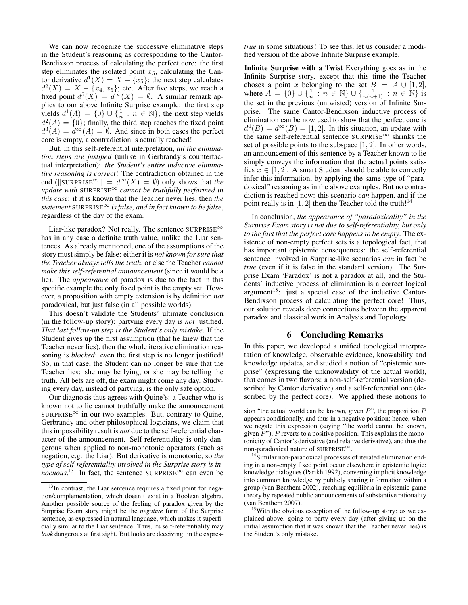We can now recognize the successive eliminative steps in the Student's reasoning as corresponding to the Cantor-Bendixson process of calculating the perfect core: the first step eliminates the isolated point  $x<sub>5</sub>$ , calculating the Cantor derivative  $d^1(X) = X - \{x_5\}$ ; the next step calculates  $d^2(X) = X - \{x_4, x_5\}$ ; etc. After five steps, we reach a fixed point  $d^5(X) = d^{\infty}(X) = \emptyset$ . A similar remark applies to our above Infinite Surprise example: the first step yields  $d^1(A) = \{0\} \cup \{\frac{1}{n} : n \in \mathbb{N}\}$ ; the next step yields  $d^2(A) = \{0\}$ ; finally, the third step reaches the fixed point  $d^{3}(A) = d^{\infty}(A) = \emptyset$ . And since in both cases the perfect core is empty, a contradiction is actually reached!

But, in this self-referential interpretation, *all the elimination steps are justified* (unlike in Gerbrandy's counterfactual interpretation): *the Student's entire inductive eliminative reasoning is correct*! The contradiction obtained in the end ( $\|\text{supPRISE}^{\infty}\| = d^{\infty}(X) = \emptyset$ ) only shows that *the update with* SURPRISE<sup>∞</sup> *cannot be truthfully performed in this case*: if it is known that the Teacher never lies, then *the statement* SURPRISE<sup>∞</sup> *is false, and in fact known to be false*, regardless of the day of the exam.

Liar-like paradox? Not really. The sentence SURPRISE<sup> $\infty$ </sup> has in any case a definite truth value, unlike the Liar sentences. As already mentioned, one of the assumptions of the story must simply be false: either it is *not known for sure that the Teacher always tells the truth*, or else the Teacher *cannot make this self-referential announcement* (since it would be a lie). The *appearance* of paradox is due to the fact in this specific example the only fixed point is the empty set. However, a proposition with empty extension is by definition *not* paradoxical, but just false (in all possible worlds).

This doesn't validate the Students' ultimate conclusion (in the follow-up story): partying every day is *not* justified. *That last follow-up step is the Student's only mistake*. If the Student gives up the first assumption (that he knew that the Teacher never lies), then the whole iterative elimination reasoning is *blocked*: even the first step is no longer justified! So, in that case, the Student can no longer be sure that the Teacher lies: she may be lying, or she may be telling the truth. All bets are off, the exam might come any day. Studying every day, instead of partying, is the only safe option.

Our diagnosis thus agrees with Quine's: a Teacher who is known not to lie cannot truthfully make the announcement  $\text{SURPRISE}^{\infty}$  in our two examples. But, contrary to Quine, Gerbrandy and other philosophical logicians, we claim that this impossibility result is *not* due to the self-referential character of the announcement. Self-referentiality is only dangerous when applied to non-monotonic operators (such as negation, e.g. the Liar). But derivative is monotonic, so *the type of self-referentiality involved in the Surprise story is in* $nocuous$ .<sup>[13](#page-8-0)</sup> In fact, the sentence SURPRISE<sup>∞</sup> can even be

*true* in some situations! To see this, let us consider a modified version of the above Infinite Surprise example.

Infinite Surprise with a Twist Everything goes as in the Infinite Surprise story, except that this time the Teacher choses a point x belonging to the set  $B = A \cup [1, 2]$ , where  $A = \{0\} \cup \{\frac{1}{n} : n \in \mathbb{N}\} \cup \{\frac{1}{n(n+1)} : n \in \mathbb{N}\}\$  is the set in the previous (untwisted) version of Infinite Surprise. The same Cantor-Bendixson inductive process of elimination can be now used to show that the perfect core is  $d^4(B) = d^{\infty}(B) = [1, 2]$ . In this situation, an update with the same self-referential sentence  $\text{SURPRISE}^{\infty}$  shrinks the set of possible points to the subspace [1, 2]. In other words, an announcement of this sentence by a Teacher known to lie simply conveys the information that the actual points satisfies  $x \in [1, 2]$ . A smart Student should be able to correctly infer this information, by applying the same type of "paradoxical" reasoning as in the above examples. But no contradiction is reached now: this scenario *can* happen, and if the point really is in  $[1, 2]$  then the Teacher told the truth!<sup>[14](#page-8-1)</sup>

In conclusion, *the appearance of "paradoxicality" in the Surprise Exam story is not due to self-referentiality, but only to the fact that the perfect core happens to be empty*. The existence of non-empty perfect sets is a topological fact, that has important epistemic consequences: the self-referential sentence involved in Surprise-like scenarios *can* in fact be *true* (even if it is false in the standard version). The Surprise Exam 'Paradox' is not a paradox at all, and the Students' inductive process of elimination is a correct logical argument<sup>[15](#page-8-2)</sup>: just a special case of the inductive Cantor-Bendixson process of calculating the perfect core! Thus, our solution reveals deep connections between the apparent paradox and classical work in Analysis and Topology.

#### 6 Concluding Remarks

In this paper, we developed a unified topological interpretation of knowledge, observable evidence, knowability and knowledge updates, and studied a notion of "epistemic surprise" (expressing the unknowability of the actual world), that comes in two flavors: a non-self-referential version (described by Cantor derivative) and a self-referential one (described by the perfect core). We applied these notions to

<span id="page-8-0"></span> $13$ In contrast, the Liar sentence requires a fixed point for negation/complementation, which doesn't exist in a Boolean algebra. Another possible source of the feeling of paradox given by the Surprise Exam story might be the *negative* form of the Surprise sentence, as expressed in natural language, which makes it superficially similar to the Liar sentence. Thus, its self-referentiality may *look* dangerous at first sight. But looks are deceiving: in the expres-

sion "the actual world can be known, given  $P$ ", the proposition  $P$ appears conditionally, and thus in a negative position; hence, when we negate this expression (saying "the world cannot be known, given  $P$ "), P reverts to a positive position. This explains the monotonicity of Cantor's derivative (and relative derivative), and thus the non-paradoxical nature of SURPRISE<sup>∞</sup>.

<span id="page-8-1"></span><sup>&</sup>lt;sup>14</sup>Similar non-paradoxical processes of iterated elimination ending in a non-empty fixed point occur elsewhere in epistemic logic: knowledge dialogues [\(Parikh 1992\)](#page-9-15), converting implicit knowledge into common knowledge by publicly sharing information within a group [\(van Benthem 2002\)](#page-9-31), reaching equilibria in epistemic game theory by repeated public announcements of substantive rationality [\(van Benthem 2007\)](#page-9-32).

<span id="page-8-2"></span><sup>&</sup>lt;sup>15</sup>With the obvious exception of the follow-up story: as we explained above, going to party every day (after giving up on the initial assumption that it was known that the Teacher never lies) is the Student's only mistake.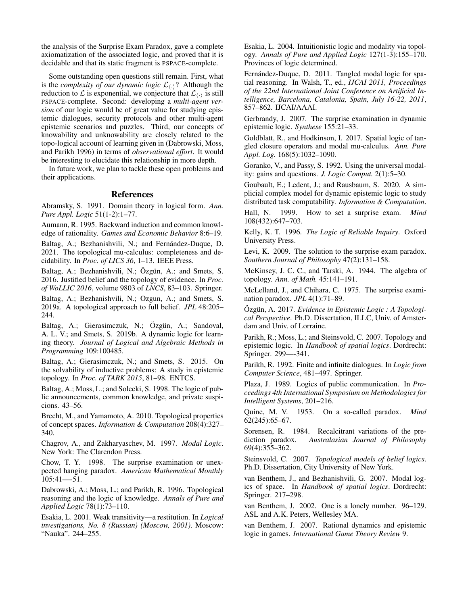the analysis of the Surprise Exam Paradox, gave a complete axiomatization of the associated logic, and proved that it is decidable and that its static fragment is PSPACE-complete.

Some outstanding open questions still remain. First, what is the *complexity of our dynamic logic*  $\mathcal{L}_{\langle \cdot \rangle}$ ? Although the reduction to  $\mathcal L$  is exponential, we conjecture that  $\mathcal L_{\langle \cdot \rangle}$  is still PSPACE-complete. Second: developing a *multi-agent version* of our logic would be of great value for studying epistemic dialogues, security protocols and other multi-agent epistemic scenarios and puzzles. Third, our concepts of knowability and unknowability are closely related to the topo-logical account of learning given in [\(Dabrowski, Moss,](#page-9-33) [and Parikh 1996\)](#page-9-33) in terms of *observational effort*. It would be interesting to elucidate this relationship in more depth.

In future work, we plan to tackle these open problems and their applications.

#### References

<span id="page-9-2"></span>Abramsky, S. 1991. Domain theory in logical form. *Ann. Pure Appl. Logic* 51(1-2):1–77.

<span id="page-9-0"></span>Aumann, R. 1995. Backward induction and common knowledge of rationality. *Games and Economic Behavior* 8:6–19.

<span id="page-9-12"></span>Baltag, A.; Bezhanishvili, N.; and Fernández-Duque, D. 2021. The topological mu-calculus: completeness and decidability. In *Proc. of LICS 36*, 1–13. IEEE Press.

<span id="page-9-7"></span>Baltag, A.; Bezhanishvili, N.; Özgün, A.; and Smets, S. 2016. Justified belief and the topology of evidence. In *Proc. of WoLLIC 2016*, volume 9803 of *LNCS*, 83–103. Springer.

<span id="page-9-19"></span>Baltag, A.; Bezhanishvili, N.; Ozgun, A.; and Smets, S. 2019a. A topological approach to full belief. *JPL* 48:205– 244.

<span id="page-9-9"></span>Baltag, A.; Gierasimczuk, N.; Özgün, A.; Sandoval, A. L. V.; and Smets, S. 2019b. A dynamic logic for learning theory. *Journal of Logical and Algebraic Methods in Programming* 109:100485.

<span id="page-9-5"></span>Baltag, A.; Gierasimczuk, N.; and Smets, S. 2015. On the solvability of inductive problems: A study in epistemic topology. In *Proc. of TARK 2015*, 81–98. ENTCS.

<span id="page-9-17"></span>Baltag, A.; Moss, L.; and Solecki, S. 1998. The logic of public announcements, common knowledge, and private suspicions. 43–56.

<span id="page-9-4"></span>Brecht, M., and Yamamoto, A. 2010. Topological properties of concept spaces. *Information & Computation* 208(4):327– 340.

<span id="page-9-25"></span>Chagrov, A., and Zakharyaschev, M. 1997. *Modal Logic*. New York: The Clarendon Press.

<span id="page-9-28"></span>Chow, T. Y. 1998. The surprise examination or unexpected hanging paradox. *American Mathematical Monthly* 105:41—-51.

<span id="page-9-33"></span>Dabrowski, A.; Moss, L.; and Parikh, R. 1996. Topological reasoning and the logic of knowledge. *Annals of Pure and Applied Logic* 78(1):73–110.

<span id="page-9-10"></span>Esakia, L. 2001. Weak transitivity—a restitution. In *Logical investigations, No. 8 (Russian) (Moscow, 2001)*. Moscow: "Nauka". 244–255.

<span id="page-9-24"></span>Esakia, L. 2004. Intuitionistic logic and modality via topology. *Annals of Pure and Applied Logic* 127(1-3):155–170. Provinces of logic determined.

<span id="page-9-13"></span>Fernández-Duque, D. 2011. Tangled modal logic for spatial reasoning. In Walsh, T., ed., *IJCAI 2011, Proceedings of the 22nd International Joint Conference on Artificial Intelligence, Barcelona, Catalonia, Spain, July 16-22, 2011*, 857–862. IJCAI/AAAI.

<span id="page-9-20"></span>Gerbrandy, J. 2007. The surprise examination in dynamic epistemic logic. *Synthese* 155:21–33.

<span id="page-9-14"></span>Goldblatt, R., and Hodkinson, I. 2017. Spatial logic of tangled closure operators and modal mu-calculus. *Ann. Pure Appl. Log.* 168(5):1032–1090.

<span id="page-9-11"></span>Goranko, V., and Passy, S. 1992. Using the universal modality: gains and questions. *J. Logic Comput.* 2(1):5–30.

<span id="page-9-6"></span>Goubault, E.; Ledent, J.; and Rausbaum, S. 2020. A simplicial complex model for dynamic epistemic logic to study distributed task computability. *Information & Computation*.

<span id="page-9-29"></span>Hall, N. 1999. How to set a surprise exam. *Mind* 108(432):647–703.

<span id="page-9-3"></span>Kelly, K. T. 1996. *The Logic of Reliable Inquiry*. Oxford University Press.

<span id="page-9-30"></span>Levi, K. 2009. The solution to the surprise exam paradox. *Southern Journal of Philosophy* 47(2):131–158.

<span id="page-9-1"></span>McKinsey, J. C. C., and Tarski, A. 1944. The algebra of topology. *Ann. of Math.* 45:141–191.

<span id="page-9-26"></span>McLelland, J., and Chihara, C. 1975. The surprise examination paradox. *JPL* 4(1):71–89.

<span id="page-9-8"></span>Özgün, A. 2017. Evidence in Epistemic Logic: A Topologi*cal Perspective*. Ph.D. Dissertation, ILLC, Univ. of Amsterdam and Univ. of Lorraine.

<span id="page-9-22"></span>Parikh, R.; Moss, L.; and Steinsvold, C. 2007. Topology and epistemic logic. In *Handbook of spatial logics*. Dordrecht: Springer. 299—-341.

<span id="page-9-15"></span>Parikh, R. 1992. Finite and infinite dialogues. In *Logic from Computer Science*, 481–497. Springer.

<span id="page-9-16"></span>Plaza, J. 1989. Logics of public communication. In *Proceedings 4th International Symposium on Methodologies for Intelligent Systems*, 201–216.

<span id="page-9-21"></span>Quine, M. V. 1953. On a so-called paradox. *Mind* 62(245):65–67.

<span id="page-9-27"></span>Sorensen, R. 1984. Recalcitrant variations of the prediction paradox. *Australasian Journal of Philosophy* 69(4):355–362.

<span id="page-9-18"></span>Steinsvold, C. 2007. *Topological models of belief logics*. Ph.D. Dissertation, City University of New York.

<span id="page-9-23"></span>van Benthem, J., and Bezhanishvili, G. 2007. Modal logics of space. In *Handbook of spatial logics*. Dordrecht: Springer. 217–298.

<span id="page-9-31"></span>van Benthem, J. 2002. One is a lonely number. 96–129. ASL and A.K. Peters, Wellesley MA.

<span id="page-9-32"></span>van Benthem, J. 2007. Rational dynamics and epistemic logic in games. *International Game Theory Review* 9.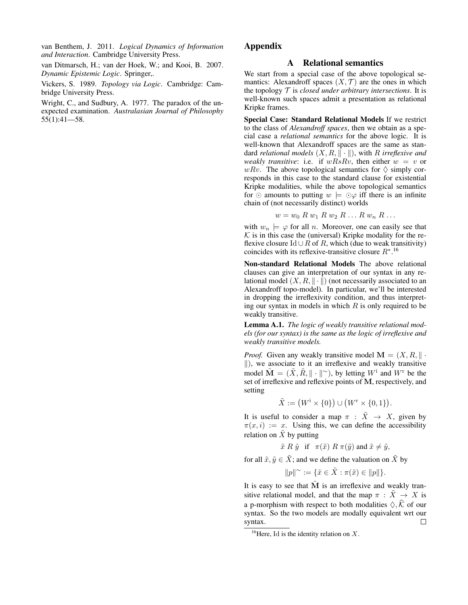<span id="page-10-2"></span>van Benthem, J. 2011. *Logical Dynamics of Information and Interaction*. Cambridge University Press.

<span id="page-10-1"></span>van Ditmarsch, H.; van der Hoek, W.; and Kooi, B. 2007. *Dynamic Epistemic Logic*. Springer,.

<span id="page-10-0"></span>Vickers, S. 1989. *Topology via Logic*. Cambridge: Cambridge University Press.

<span id="page-10-3"></span>Wright, C., and Sudbury, A. 1977. The paradox of the unexpected examination. *Australasian Journal of Philosophy*  $55(1):41$ —58.

### Appendix

## A Relational semantics

We start from a special case of the above topological semantics: Alexandroff spaces  $(X, \mathcal{T})$  are the ones in which the topology  $T$  is *closed under arbitrary intersections*. It is well-known such spaces admit a presentation as relational Kripke frames.

Special Case: Standard Relational Models If we restrict to the class of *Alexandroff spaces*, then we obtain as a special case a *relational semantics* for the above logic. It is well-known that Alexandroff spaces are the same as standard *relational models*  $(X, R, \|\cdot\|)$ , with R *irreflexive and weakly transitive*: i.e. if  $wRsRv$ , then either  $w = v$  or wRv. The above topological semantics for  $\Diamond$  simply corresponds in this case to the standard clause for existential Kripke modalities, while the above topological semantics for  $\odot$  amounts to putting  $w \models \odot\varphi$  iff there is an infinite chain of (not necessarily distinct) worlds

$$
w = w_0 R w_1 R w_2 R \dots R w_n R \dots
$$

with  $w_n \models \varphi$  for all *n*. Moreover, one can easily see that  $K$  is in this case the (universal) Kripke modality for the reflexive closure Id∪R of R, which (due to weak transitivity) coincides with its reflexive-transitive closure  $R^*$ .<sup>[16](#page-10-4)</sup>

Non-standard Relational Models The above relational clauses can give an interpretation of our syntax in any relational model  $(X, R, \|\cdot\|)$  (not necessarily associated to an Alexandroff topo-model). In particular, we'll be interested in dropping the irreflexivity condition, and thus interpreting our syntax in models in which  $R$  is only required to be weakly transitive.

<span id="page-10-5"></span>Lemma A.1. *The logic of weakly transitive relational models (for our syntax) is the same as the logic of irreflexive and weakly transitive models.*

*Proof.* Given any weakly transitive model  $\mathbf{M} = (X, R, || \cdot ||)$  $\|$ ), we associate to it an irreflexive and weakly transitive model  $\tilde{M} = (\tilde{X}, \tilde{R}, || \cdot ||^{\sim})$ , by letting  $W^i$  and  $W^r$  be the set of irreflexive and reflexive points of M, respectively, and setting

$$
\tilde{X} := (W^i \times \{0\}) \cup (W^r \times \{0,1\}).
$$

It is useful to consider a map  $\pi : \tilde{X} \to X$ , given by  $\pi(x, i) := x$ . Using this, we can define the accessibility relation on  $\tilde{X}$  by putting

$$
\tilde{x}
$$
  $R \tilde{y}$  if  $\pi(\tilde{x}) R \pi(\tilde{y})$  and  $\tilde{x} \neq \tilde{y}$ ,

for all  $\tilde{x}, \tilde{y} \in \tilde{X}$ ; and we define the valuation on  $\tilde{X}$  by

$$
||p||^{\sim} := \{ \tilde{x} \in \tilde{X} : \pi(\tilde{x}) \in ||p|| \}.
$$

It is easy to see that  $M$  is an irreflexive and weakly transitive relational model, and that the map  $\pi : \tilde{X} \to X$  is a p-morphism with respect to both modalities  $\Diamond$ ,  $\widehat{\mathcal{K}}$  of our syntax. So the two models are modally equivalent wrt our syntax.  $\Box$ 

<span id="page-10-4"></span><sup>&</sup>lt;sup>16</sup>Here, Id is the identity relation on  $X$ .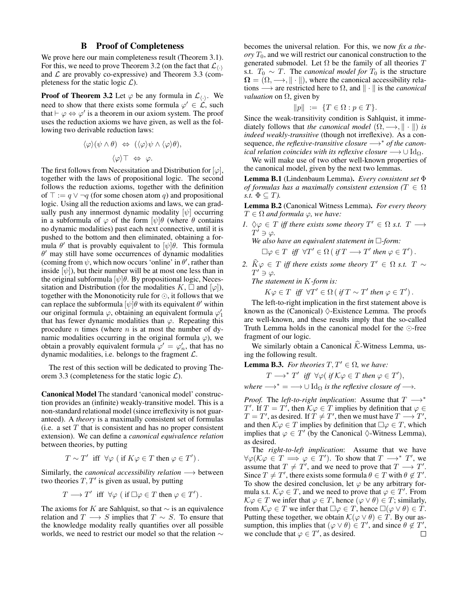#### B Proof of Completeness

We prove here our main completeness result (Theorem [3.1\)](#page-4-1). For this, we need to prove Theorem [3.2](#page-5-2) (on the fact that  $\mathcal{L}_{\langle . \rangle}$ and  $\mathcal L$  are provably co-expressive) and Theorem [3.3](#page-5-3) (completeness for the static logic  $\mathcal{L}$ ).

**Proof of Theorem [3.2](#page-5-2)** Let  $\varphi$  be any formula in  $\mathcal{L}_{\langle \cdot \rangle}$ . We need to show that there exists some formula  $\varphi' \in \mathcal{L}$ , such that  $\vdash \varphi \Leftrightarrow \varphi'$  is a theorem in our axiom system. The proof uses the reduction axioms we have given, as well as the following two derivable reduction laws:

$$
\langle \varphi \rangle (\psi \wedge \theta) \Leftrightarrow (\langle \varphi \rangle \psi \wedge \langle \varphi \rangle \theta),
$$
  

$$
\langle \varphi \rangle \top \Leftrightarrow \varphi.
$$

The first follows from Necessitation and Distribution for  $[\varphi]$ , together with the laws of propositional logic. The second follows the reduction axioms, together with the definition of  $\top := q \vee \neg q$  (for some chosen atom q) and propositional logic. Using all the reduction axioms and laws, we can gradually push any innermost dynamic modality  $[\psi]$  occurring in a subformula of  $\varphi$  of the form  $[\psi]\theta$  (where  $\theta$  contains no dynamic modalities) past each next connective, until it is pushed to the bottom and then eliminated, obtaining a formula  $\theta'$  that is provably equivalent to  $[\psi]\theta$ . This formula  $\theta'$  may still have some occurrences of dynamic modalities (coming from  $\psi$ , which now occurs 'online' in  $\theta'$ , rather than inside  $[\psi]$ , but their number will be at most one less than in the original subformula  $[\psi]\theta$ . By propositional logic, Necessitation and Distribution (for the modalities  $K, \Box$  and  $[\varphi]$ ), together with the Mononoticity rule for  $\odot$ , it follows that we can replace the subformula  $[\psi]\theta$  with its equivalent  $\theta'$  within our original formula  $\varphi$ , obtaining an equivalent formula  $\varphi_1'$ that has fewer dynamic modalities than  $\varphi$ . Repeating this procedure  $n$  times (where  $n$  is at most the number of dynamic modalities occurring in the original formula  $\varphi$ ), we obtain a provably equivalent formula  $\varphi' = \varphi'_n$ , that has no dynamic modalities, i.e. belongs to the fragment  $\mathcal{L}$ .

The rest of this section will be dedicated to proving The-orem [3.3](#page-5-3) (completeness for the static logic  $\mathcal{L}$ ).

Canonical Model The standard 'canonical model' construction provides an (infinite) weakly-transitive model. This is a non-standard relational model (since irreflexivity is not guaranteed). A *theory* is a maximally consistent set of formulas (i.e. a set  $T$  that is consistent and has no proper consistent extension). We can define a *canonical equivalence relation* between theories, by putting

$$
T \sim T' \text{ iff } \forall \varphi \text{ (if } K\varphi \in T \text{ then } \varphi \in T') .
$$

Similarly, the *canonical accessibility relation* → between two theories  $T, T'$  is given as usual, by putting

$$
T \longrightarrow T' \text{ iff } \forall \varphi \text{ (if } \Box \varphi \in T \text{ then } \varphi \in T') .
$$

The axioms for K are Sahlquist, so that  $\sim$  is an equivalence relation and  $T \longrightarrow S$  implies that  $T \sim S$ . To ensure that the knowledge modality really quantifies over all possible worlds, we need to restrict our model so that the relation ∼

becomes the universal relation. For this, we now *fix a the-* $\partial y T_0$ , and we will restrict our canonical construction to the generated submodel. Let  $\Omega$  be the family of all theories  $T$ s.t.  $T_0 \sim T$ . The *canonical model for*  $T_0$  is the structure  $\Omega = (\Omega, \longrightarrow, \| \cdot \|)$ , where the canonical accessibility relations  $\longrightarrow$  are restricted here to  $\Omega$ , and  $\|\cdot\|$  is the *canonical valuation* on Ω, given by

$$
||p|| := \{T \in \Omega : p \in T\}.
$$

Since the weak-transitivity condition is Sahlquist, it immediately follows that *the canonical model*  $(\Omega, \longrightarrow, \|\cdot\|)$  *is indeed weakly-transitive* (though not irreflexive). As a consequence, *the reflexive-transitive closure* → *\* of the canonical relation coincides with its reflexive closure*  $\longrightarrow \cup \text{Id}_{\Omega}$ .

We will make use of two other well-known properties of the canonical model, given by the next two lemmas.

Lemma B.1 (Lindenbaum Lemma). *Every consistent set* Φ *of formulas has a maximally consistent extension (T*  $\in \Omega$ *) s.t.*  $\Phi \subseteq T$ *).* 

<span id="page-11-1"></span>Lemma B.2 (Canonical Witness Lemma). *For every theory*  $T \in \Omega$  *and formula*  $\varphi$ *, we have:* 

*1.*  $\Diamond \varphi \in T$  *iff there exists some theory*  $T' \in \Omega$  *s.t.*  $T \longrightarrow$  $T^{i}\ni\varphi.$ 

*We also have an equivalent statement in*  $\Box$ -form:

$$
\Box \varphi \in T \; \text{ iff } \; \forall T' \in \Omega \, ( \text{ if } T \longrightarrow T' \text{ then } \varphi \in T' \text{).}
$$

2.  $\widehat{K}\varphi \in T$  *iff there exists some theory*  $T' \in \Omega$  *s.t.*  $T \sim T'$  $T' \ni \varphi$ .

*The statement in* K*-form is:*

 $K\varphi \in T$  *iff*  $\forall T' \in \Omega$  (*if*  $T \sim T'$  *then*  $\varphi \in T'$ ).

The left-to-right implication in the first statement above is known as the (Canonical)  $\Diamond$ -Existence Lemma. The proofs are well-known, and these results imply that the so-called Truth Lemma holds in the canonical model for the  $\odot$ -free fragment of our logic.

We similarly obtain a Canonical  $\hat{\mathcal{K}}$ -Witness Lemma, using the following result.

<span id="page-11-0"></span>**Lemma B.3.** *For theories*  $T, T' \in \Omega$ *, we have:* 

 $T \longrightarrow^* T'$  iff  $\forall \varphi \, ( \text{ if } \mathcal{K} \varphi \in T \text{ then } \varphi \in T' ),$ *where*  $\longrightarrow^* = \longrightarrow \cup \mathrm{Id}_{\Omega}$  *is the reflexive closure of*  $\longrightarrow$ *.* 

*Proof.* The *left-to-right implication*: Assume that  $T \rightarrow$ \* T'. If  $T = T<sup>j</sup>$ , then  $K\varphi \in T$  implies by definition that  $\varphi \in T$  $T = T'$ , as desired. If  $T \neq T'$ , then we must have  $T \longrightarrow T'$ , and then  $K\varphi \in T$  implies by definition that  $\Box \varphi \in T$ , which implies that  $\varphi \in T'$  (by the Canonical  $\Diamond$ -Witness Lemma), as desired.

The *right-to-left implication*: Assume that we have  $\forall \varphi(\mathcal{K}\varphi \in T \implies \varphi \in T')$ . To show that  $T \longrightarrow^* T'$ , we assume that  $T \neq T'$ , and we need to prove that  $T \longrightarrow T'$ . Since  $T \neq T'$ , there exists some formula  $\theta \in T$  with  $\theta \notin T'$ . To show the desired conclusion, let  $\varphi$  be any arbitrary formula s.t.  $\mathcal{K}\varphi \in T$ , and we need to prove that  $\varphi \in T'$ . From  $K\varphi \in T$  we infer that  $\varphi \in T$ , hence  $(\varphi \vee \theta) \in T$ ; similarly, from  $\mathcal{K}\varphi \in T$  we infer that  $\Box \varphi \in T$ , hence  $\Box(\varphi \vee \theta) \in T$ . Putting these together, we obtain  $\mathcal{K}(\varphi \lor \theta) \in T$ . By our assumption, this implies that  $(\varphi \lor \theta) \in T'$ , and since  $\theta \notin T'$ , we conclude that  $\varphi \in T'$ , as desired.  $\Box$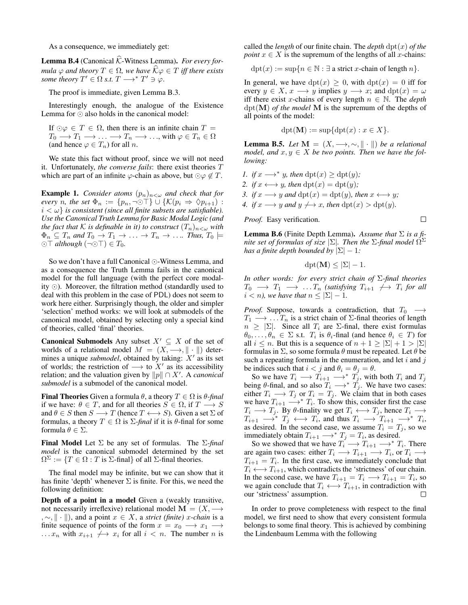As a consequence, we immediately get:

**Lemma B.4** (Canonical  $\widehat{K}$ -Witness Lemma). *For every formula*  $\varphi$  *and theory*  $T \in \Omega$ *, we have*  $\widehat{K}\varphi \in T$  *iff there exists some theory*  $T' \in \Omega$  *s.t.*  $T \longrightarrow^* T' \ni \varphi$ .

The proof is immediate, given Lemma [B.3.](#page-11-0)

Interestingly enough, the analogue of the Existence Lemma for  $\odot$  also holds in the canonical model:

If  $\bigcirc \varphi \in T \in \Omega$ , then there is an infinite chain  $T =$  $T_0 \longrightarrow T_1 \longrightarrow \ldots \longrightarrow T_n \longrightarrow \ldots$ , with  $\varphi \in T_n \in \Omega$ (and hence  $\varphi \in T_n$ ) for all *n*.

We state this fact without proof, since we will not need it. Unfortunately, *the converse fails*: there exist theories T which are part of an infinite  $\varphi$ -chain as above, but  $\odot \varphi \notin T$ .

**Example 1.** *Consider atoms*  $(p_n)_{n \lt \omega}$  *and check that for every n, the set*  $\Phi_n := \{p_n, \neg \odot \top\} \cup \{K(p_i \Rightarrow \Diamond p_{i+1})$ :  $i < \omega$  *is consistent (since all finite subsets are satisfiable). Use the Canonical Truth Lemma for Basic Modal Logic (and the fact that* K *is definable in it) to construct*  $(T_n)_{n \leq \omega}$  *with*  $\Phi_n \subseteq T_n$  and  $T_0 \to T_1 \to \ldots \to T_n \to \ldots$  Thus,  $T_0 \models$  $\odot$ T although ( $\neg$ OT)  $\in T_0$ .

So we don't have a full Canonical  $\odot$ -Witness Lemma, and as a consequence the Truth Lemma fails in the canonical model for the full language (with the perfect core modality  $\odot$ ). Moreover, the filtration method (standardly used to deal with this problem in the case of PDL) does not seem to work here either. Surprisingly though, the older and simpler 'selection' method works: we will look at submodels of the canonical model, obtained by selecting only a special kind of theories, called 'final' theories.

**Canonical Submodels** Any subset  $X' \subseteq X$  of the set of worlds of a relational model  $M = (X, \longrightarrow, \| \cdot \|)$  determines a unique *submodel*, obtained by taking:  $X'$  as its set of worlds; the restriction of  $\longrightarrow$  to X' as its accessibility relation; and the valuation given by  $||p|| \cap X'$ . A *canonical submodel* is a submodel of the canonical model.

**Final Theories** Given a formula  $\theta$ , a theory  $T \in \Omega$  is  $\theta$ -final if we have:  $\theta \in T$ , and for all theories  $S \in \Omega$ , if  $T \longrightarrow S$ and  $\theta \in S$  then  $S \longrightarrow T$  (hence  $T \longleftrightarrow S$ ). Given a set  $\Sigma$  of formulas, a theory  $T \in \Omega$  is  $\Sigma$ -*final* if it is  $\theta$ -final for some formula  $\theta \in \Sigma$ .

Final Model Let Σ be any set of formulas. The Σ*-final model* is the canonical submodel determined by the set  $\Omega^{\Sigma} := \{T \in \Omega : T \text{ is } \Sigma\text{-final}\}$  of all  $\Sigma\text{-final}$  theories.

The final model may be infinite, but we can show that it has finite 'depth' whenever  $\Sigma$  is finite. For this, we need the following definition:

Depth of a point in a model Given a (weakly transitive, not necessarily irreflexive) relational model  $\mathbf{M} = (X, \rightarrow)$ , ∼, k · k), and a point x ∈ X, a *strict (finite)* x*-chain* is a finite sequence of points of the form  $x = x_0 \longrightarrow x_1 \longrightarrow$ ...  $x_n$  with  $x_{i+1} \rightarrow x_i$  for all  $i < n$ . The number n is

called the *length* of our finite chain. The *depth*  $\text{dpt}(x)$  *of the point*  $x \in X$  is the supremum of the lengths of all x-chains:

 $\det(x) := \sup\{n \in \mathbb{N} : \exists \text{ a strict } x\text{-chain of length } n\}.$ 

In general, we have  $\text{dpt}(x) \geq 0$ , with  $\text{dpt}(x) = 0$  iff for every  $y \in X$ ,  $x \longrightarrow y$  implies  $y \longrightarrow x$ ; and  $\text{dpt}(x) = \omega$ iff there exist x-chains of every length  $n \in \mathbb{N}$ . The *depth* dpt(M) *of the model* M is the supremum of the depths of all points of the model:

$$
dpt(M) := \sup\{dpt(x) : x \in X\}.
$$

<span id="page-12-1"></span>**Lemma B.5.** *Let*  $M = (X, \rightarrow, \sim, \| \cdot \|)$  *be a relational model, and*  $x, y \in X$  *be two points. Then we have the following:*

- *1. if*  $x \rightarrow^* y$ *, then* dpt $(x) \ge \text{dpt}(y)$ *;* 2. *if*  $x \longleftrightarrow y$ *, then* dpt $(x) = \text{dpt}(y)$ *; 3. if*  $x \rightarrow y$  *and* dpt $(x) =$  dpt $(y)$ *, then*  $x \leftarrow y$ *;*
- *4. if*  $x \rightarrow y$  *and*  $y \nleftrightarrow x$ *, then* dpt $(x) >$  dpt $(y)$ *.*

*Proof.* Easy verification.

<span id="page-12-0"></span>Lemma B.6 (Finite Depth Lemma). *Assume that* Σ *is a finite set of formulas of size* |Σ|*. Then the* Σ*-final model* Ω Σ *has a finite depth bounded by*  $|\Sigma| - 1$ *:* 

 $\Box$ 

$$
dpt(M) \leq |\Sigma| - 1.
$$

*In other words: for every strict chain of* Σ*-final theories*  $T_0 \longrightarrow T_1 \longrightarrow \dots T_n$  *(satisfying*  $T_{i+1} \nrightarrow T_i$  for all  $i < n$ , we have that  $n \leq |\Sigma| - 1$ .

*Proof.* Suppose, towards a contradiction, that  $T_0 \rightarrow$  $T_1 \longrightarrow \dots T_n$  is a strict chain of  $\Sigma$ -final theories of length  $n \geq |\Sigma|$ . Since all  $T_i$  are  $\Sigma$ -final, there exist formulas  $\theta_0, \ldots, \theta_n \in \Sigma$  s.t.  $T_i$  is  $\theta_i$ -final (and hence  $\theta_i \in T$ ) for all  $i \leq n$ . But this is a sequence of  $n + 1 \geq |\Sigma| + 1 > |\Sigma|$ formulas in  $\Sigma$ , so some formula  $\theta$  must be repeated. Let  $\theta$  be such a repeating formula in the enumeration, and let  $i$  and  $j$ be indices such that  $i < j$  and  $\theta_i = \theta_j = \theta$ .

So we have  $T_i \longrightarrow \tilde{T}_{i+1} \longrightarrow^* T_j$ , with both  $T_i$  and  $T_j$ being  $\theta$ -final, and so also  $T_i \longrightarrow^* T_j$ . We have two cases: either  $T_i \longrightarrow T_j$  or  $T_i = T_j$ . We claim that in both cases we have  $T_{i+1} \longrightarrow^* T_i$ . To show this, consider first the case  $T_i \longrightarrow T_j$ . By  $\theta$ -finality we get  $T_i \longleftrightarrow T_j$ , hence  $T_i \longrightarrow$  $T_{i+1} \longrightarrow^* T_j \longleftrightarrow T_i$ , and thus  $T_i \longrightarrow^* T_{i+1} \longrightarrow^* T_i$ , as desired. In the second case, we assume  $T_i = T_j$ , so we immediately obtain  $T_{i+1} \longrightarrow^* T_j = T_i$ , as desired.

So we showed that we have  $T_i \longrightarrow T_{i+1} \longrightarrow^* T_i$ . There are again two cases: either  $T_i \longrightarrow T_{i+1} \longrightarrow T_i$ , or  $T_i \longrightarrow$  $T_{i+1} = T_i$ . In the first case, we immediately conclude that  $T_i \leftrightarrow T_{i+1}$ , which contradicts the 'strictness' of our chain. In the second case, we have  $T_{i+1} = T_i \longrightarrow T_{i+1} = T_i$ , so we again conclude that  $T_i \longleftrightarrow T_{i+1}$ , in contradiction with our 'strictness' assumption.

In order to prove completeness with respect to the final model, we first need to show that every consistent formula belongs to some final theory. This is achieved by combining the Lindenbaum Lemma with the following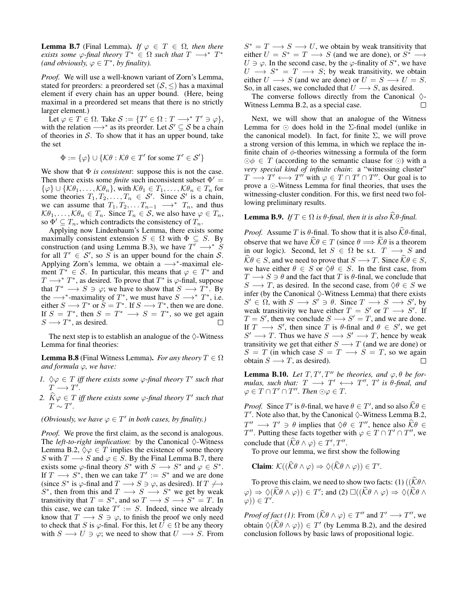<span id="page-13-0"></span>**Lemma B.7** (Final Lemma). *If*  $\varphi \in T \in \Omega$ , then there *exists some*  $\varphi$ -final theory  $T^* \in \Omega$  *such that*  $T \longrightarrow^* T^*$ (and obviously,  $\varphi \in T^*$ , by finality).

*Proof.* We will use a well-known variant of Zorn's Lemma, stated for preorders: a preordered set  $(S, \le)$  has a maximal element if every chain has an upper bound. (Here, being maximal in a preordered set means that there is no strictly larger element.)

Let  $\varphi \in T \in \Omega$ . Take  $\mathcal{S} := \{T' \in \Omega : T \longrightarrow^* T' \ni \varphi\},\$ with the relation  $\longrightarrow^*$  as its preorder. Let  $S' \subseteq S$  be a chain of theories in  $S$ . To show that it has an upper bound, take the set

 $\Phi := \{\varphi\} \cup \{\mathcal{K}\theta : \mathcal{K}\theta \in T' \text{ for some } T' \in \mathcal{S}'\}$ 

We show that  $\Phi$  *is consistent*: suppose this is not the case. Then there exists some *finite* such inconsistent subset  $\Phi'$  =  $\{\varphi\} \cup \{\mathcal{K}\theta_1,\ldots,\mathcal{K}\theta_n\}$ , with  $\mathcal{K}\theta_1 \in T_1,\ldots,\mathcal{K}\theta_n \in T_n$  for some theories  $T_1, T_2, \ldots, T_n \in S'$ . Since S' is a chain, we can assume that  $T_1, T_2, \ldots T_{n-1} \longrightarrow^* T_n$ , and thus  $K\theta_1, \ldots, K\theta_n \in T_n$ . Since  $T_n \in \mathcal{S}$ , we also have  $\varphi \in T_n$ , so  $\Phi' \subseteq T_n$ , which contradicts the consistency of  $T_n$ .

Applying now Lindenbaum's Lemma, there exists some maximally consistent extension  $S \in \Omega$  with  $\Phi \subseteq S$ . By construction (and using Lemma [B.3\)](#page-11-0), we have  $T' \longrightarrow^* S$ for all  $T' \in S'$ , so S is an upper bound for the chain S. Applying Zorn's lemma, we obtain a → \*-maximal element  $T^* \in S$ . In particular, this means that  $\varphi \in T^*$  and  $T \longrightarrow^* T^*$ , as desired. To prove that  $T^*$  is  $\varphi$ -final, suppose that  $T^* \longrightarrow S \ni \varphi$ ; we have to show that  $S \longrightarrow T^*$ . By the  $\longrightarrow^*$ -maximality of  $T^*$ , we must have  $S \longrightarrow^* T^*$ , i.e. either  $S \longrightarrow T^*$  or  $S = T^*$ . If  $S \longrightarrow T^*$ , then we are done. If  $S = T^*$ , then  $S = T^* \longrightarrow S = T^*$ , so we get again  $S \longrightarrow T^*$ , as desired.

The next step is to establish an analogue of the  $\Diamond$ -Witness Lemma for final theories:

<span id="page-13-2"></span>**Lemma B.8** (Final Witness Lemma). *For any theory*  $T \in \Omega$ *and formula*  $\varphi$ *, we have:* 

- *1.*  $\Diamond \varphi \in T$  *iff there exists some*  $\varphi$ -final theory  $T'$  such that  $T \longrightarrow T'.$
- 2.  $\widehat{K}\varphi \in T$  *iff there exists some*  $\varphi$ *-final theory*  $T'$  *such that*  $T \sim T'.$

*(Obviously, we have*  $\varphi \in T'$  *in both cases, by finality.)* 

*Proof.* We prove the first claim, as the second is analogous. The *left-to-right implication*: by the Canonical  $\Diamond$ -Witness Lemma [B.2,](#page-11-1)  $\Diamond \varphi \in T$  implies the existence of some theory S with  $T \longrightarrow S$  and  $\varphi \in S$ . By the Final Lemma [B.7,](#page-13-0) there exists some  $\varphi$ -final theory  $S^*$  with  $S \longrightarrow S^*$  and  $\varphi \in S^*$ . If  $T \longrightarrow S^*$ , then we can take  $T' := S^*$  and we are done (since S<sup>\*</sup> is  $\varphi$ -final and  $T \longrightarrow S \ni \varphi$ , as desired). If  $T \nleftrightarrow$  $S^*$ , then from this and  $T \longrightarrow S \longrightarrow S^*$  we get by weak transitivity that  $T = S^*$ , and so  $T \longrightarrow S \longrightarrow S^* = T$ . In this case, we can take  $T' := S$ . Indeed, since we already know that  $T \longrightarrow S \ni \varphi$ , to finish the proof we only need to check that S is  $\varphi$ -final. For this, let  $\overline{U} \in \Omega$  be any theory with  $S \longrightarrow U \ni \varphi$ ; we need to show that  $U \longrightarrow S$ . From

 $S^* = T \longrightarrow S \longrightarrow U$ , we obtain by weak transitivity that either  $U = S^* = T \longrightarrow S$  (and we are done), or  $S^* \longrightarrow$  $U \ni \varphi$ . In the second case, by the  $\varphi$ -finality of  $S^*$ , we have  $U \longrightarrow S^* = T \longrightarrow S$ ; by weak transitivity, we obtain either  $U \longrightarrow S$  (and we are done) or  $U = S \longrightarrow U = S$ . So, in all cases, we concluded that  $U \longrightarrow S$ , as desired.

The converse follows directly from the Canonical  $\Diamond$ -<br>itness Lemma B.2, as a special case. Witness Lemma [B.2,](#page-11-1) as a special case.

Next, we will show that an analogue of the Witness Lemma for  $\odot$  does hold in the  $\Sigma$ -final model (unlike in the canonical model). In fact, for finite  $\Sigma$ , we will prove a strong version of this lemma, in which we replace the infinite chain of  $\phi$ -theories witnessing a formula of the form  $\odot \phi \in T$  (according to the semantic clause for  $\odot$ ) with a *very special kind of infinite chain*: a "witnessing cluster"  $T \longrightarrow T' \longleftrightarrow T''$  with  $\varphi \in T \cap T' \cap T''$ . Our goal is to prove a  $\odot$ -Witness Lemma for final theories, that uses the witnessing-cluster condition. For this, we first need two following preliminary results.

#### <span id="page-13-1"></span>**Lemma B.9.** *If*  $T \in \Omega$  *is*  $\theta$ *-final, then it is also*  $\widehat{\mathcal{K}}\theta$ -final.

*Proof.* Assume T is  $\theta$ -final. To show that it is also  $\hat{\mathcal{K}}\theta$ -final, observe that we have  $\widehat{\mathcal{K}}\theta \in T$  (since  $\theta \Longrightarrow \widehat{\mathcal{K}}\theta$  is a theorem in our logic). Second, let  $S \in \Omega$  be s.t.  $T \longrightarrow S$  and  $\widehat{K}\theta \in S$ , and we need to prove that  $S \longrightarrow T$ . Since  $\widehat{K}\theta \in S$ , we have either  $\theta \in S$  or  $\Diamond \theta \in S$ . In the first case, from  $T \longrightarrow S \ni \theta$  and the fact that T is  $\theta$ -final, we conclude that  $S \longrightarrow T$ , as desired. In the second case, from  $\Diamond \theta \in S$  we infer (by the Canonical  $\Diamond$ -Witness Lemma) that there exists  $S' \in \Omega$ , with  $S \longrightarrow S' \ni \theta$ . Since  $T \longrightarrow S \longrightarrow S'$ , by weak transitivity we have either  $T = S'$  or  $T \longrightarrow S'$ . If  $T = S'$ , then we conclude  $S \longrightarrow S' = T$ , and we are done. If  $T \longrightarrow S'$ , then since T is  $\theta$ -final and  $\theta \in S'$ , we get  $S' \longrightarrow T$ . Thus we have  $S \longrightarrow S' \longrightarrow T$ , hence by weak transitivity we get that either  $S \longrightarrow T$  (and we are done) or  $S = T$  (in which case  $S = T \longrightarrow S = T$ , so we again obtain  $S \longrightarrow T$ , as desired). П

<span id="page-13-3"></span>**Lemma B.10.** Let  $T, T', T''$  be theories, and  $\varphi, \theta$  be for*mulas, such that:*  $T \longrightarrow T' \longleftrightarrow T''$ ,  $T'$  *is*  $\theta$ *-final, and*  $\varphi \in T \cap T' \cap T''$ . Then  $\odot \varphi \in T$ .

*Proof.* Since T' is  $\theta$ -final, we have  $\theta \in T'$ , and so also  $\widehat{K}\theta \in T'$ .  $T'$ . Note also that, by the Canonical  $\Diamond$ -Witness Lemma [B.2,](#page-11-1)  $T'' \longrightarrow T' \ni \theta$  implies that  $\Diamond \theta \in T''$ , hence also  $\widehat{\mathcal{R}} \theta \in T''$ . T''. Putting these facts together with  $\varphi \in T \cap T' \cap T''$ , we conclude that  $(\widehat{\mathcal{K}}\theta \wedge \varphi) \in T', T''.$ 

To prove our lemma, we first show the following

**Claim:** 
$$
\mathcal{K}((\hat{\mathcal{K}}\theta \wedge \varphi) \Rightarrow \Diamond(\hat{\mathcal{K}}\theta \wedge \varphi)) \in T'.
$$

To prove this claim, we need to show two facts: (1) ( $(K\theta \wedge$  $(\varphi) \Rightarrow \Diamond (\widehat{K}\theta \wedge \varphi)) \in T'$ ; and  $(2) \Box ((\widehat{K}\theta \wedge \varphi) \Rightarrow \Diamond (\widehat{K}\theta \wedge \varphi))$  $(\varphi)) \in T'.$ 

*Proof of fact (1)*: From  $(\widehat{\mathcal{K}}\theta \wedge \varphi) \in T''$  and  $T' \longrightarrow T''$ , we obtain  $\Diamond (\widehat{K}\theta \land \varphi)) \in T'$  (by Lemma [B.2\)](#page-11-1), and the desired conclusion follows by basic laws of propositional logic.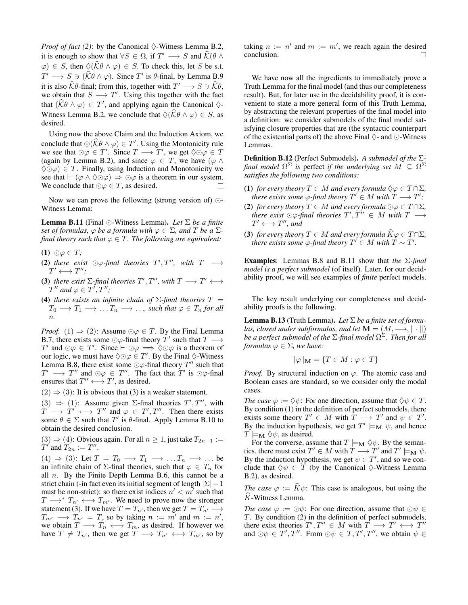*Proof of fact (2)*: by the Canonical  $\Diamond$ -Witness Lemma [B.2,](#page-11-1) it is enough to show that  $\forall S \in \Omega$ , if  $T' \longrightarrow S$  and  $\widehat{\mathcal{K}}(\theta \wedge \theta)$  $\varphi$ )  $\in S$ , then  $\Diamond(\widehat{K}\theta \land \varphi) \in S$ . To check this, let S be s.t.  $T' \longrightarrow S \ni (\widehat{\mathcal{K}}\theta \wedge \varphi)$ . Since T' is  $\theta$ -final, by Lemma [B.9](#page-13-1) it is also  $\hat{\mathcal{K}}\theta$ -final; from this, together with  $T' \longrightarrow S \ni \hat{\mathcal{K}}\theta$ , we obtain that  $S \longrightarrow T'$ . Using this together with the fact that  $(\widehat{\mathcal{K}}\theta \wedge \varphi) \in T'$ , and applying again the Canonical  $\diamond$ -Witness Lemma [B.2,](#page-11-1) we conclude that  $\Diamond (\widehat{K}\theta \land \varphi) \in S$ , as desired.

Using now the above Claim and the Induction Axiom, we conclude that  $\odot (\widehat{K}\theta \wedge \varphi) \in T'$ . Using the Montonicity rule we see that  $\odot \varphi \in T'$ . Since  $T \longrightarrow T'$ , we get  $\Diamond \odot \varphi \in T$ (again by Lemma [B.2\)](#page-11-1), and since  $\varphi \in T$ , we have  $(\varphi \wedge$  $\Diamond \odot \varphi$   $\in$  T. Finally, using Induction and Monotonicity we see that  $\vdash (\varphi \land \Diamond \odot \varphi) \Rightarrow \odot \varphi$  is a theorem in our system. We conclude that  $\odot \varphi \in T$ , as desired.  $\Box$ 

Now we can prove the following (strong version of)  $\odot$ -Witness Lemma:

<span id="page-14-0"></span>**Lemma B.11** (Final ⊙-Witness Lemma). Let Σ be a finite *set of formulas,*  $\varphi$  *be a formula with*  $\varphi \in \Sigma$ *, and T be a*  $\Sigma$ *final theory such that*  $\varphi \in T$ *. The following are equivalent:* 

 $(1)$   $\odot \varphi \in T$ ;

- (2) *there exist*  $\bigcirc \varphi$ -final *theories*  $T', T'',$  *with*  $T \longrightarrow$  $T' \longleftrightarrow T''$ ;
- (3) *there exist*  $\Sigma$ -final theories  $T', T''$ , with  $T \longrightarrow T' \longleftrightarrow$  $T''$  and  $\varphi \in T', T''$ ;
- (4) *there exists an infinite chain of*  $\Sigma$ -final *theories*  $T =$  $T_0 \longrightarrow T_1 \longrightarrow \dots T_n \longrightarrow \dots$ , such that  $\varphi \in T_n$  for all n*.*

*Proof.* (1)  $\Rightarrow$  (2): Assume  $\odot \varphi \in T$ . By the Final Lemma [B.7,](#page-13-0) there exists some  $\odot \varphi$ -final theory  $\dot{T}'$  such that  $T \rightarrow$ T' and  $\bigcirc \varphi \in T'$ . Since  $\vdash \bigcirc \varphi \implies \Diamond \bigcirc \varphi$  is a theorem of our logic, we must have  $\Diamond \odot \varphi \in T'$ . By the Final  $\Diamond$ -Witness Lemma [B.8,](#page-13-2) there exist some  $\odot \varphi$ -final theory  $T''$  such that  $T' \longrightarrow T''$  and  $\odot \varphi \in T''$ . The fact that  $T'$  is  $\odot \varphi$ -final ensures that  $T'' \longleftrightarrow T'$ , as desired.

 $(2) \Rightarrow (3)$ : It is obvious that (3) is a weaker statement.

(3)  $\Rightarrow$  (1): Assume given  $\Sigma$ -final theories  $T', T''$ , with  $T \longrightarrow T' \longleftrightarrow T''$  and  $\varphi \in T', T''$ . Then there exists some  $\theta \in \Sigma$  such that T' is  $\theta$ -final. Apply Lemma [B.10](#page-13-3) to obtain the desired conclusion.

 $(3) \Rightarrow (4)$ : Obvious again. For all  $n \ge 1$ , just take  $T_{2n-1} :=$  $T'$  and  $T'_{2n} := T''$ .

 $(4) \Rightarrow (3)$ : Let  $T = T_0 \longrightarrow T_1 \longrightarrow \dots T_n \longrightarrow \dots$  be an infinite chain of  $\Sigma$ -final theories, such that  $\varphi \in T_n$  for all  $n$ . By the Finite Depth Lemma [B.6,](#page-12-0) this cannot be a strict chain (-in fact even its initial segment of length  $|\Sigma| - 1$ must be non-strict): so there exist indices  $n' < m'$  such that  $T \longrightarrow^* T_{n'} \longleftrightarrow T_{m'}$ . We need to prove now the stronger statement (3). If we have  $T = T_{n'}$ , then we get  $T = T_{n'} \longrightarrow$  $T_{m'} \longrightarrow T_{n'} = T$ , so by taking  $n := m'$  and  $m := n'$ , we obtain  $T \longrightarrow T_n \longleftrightarrow T_m$ , as desired. If however we have  $T \neq T_{n'}$ , then we get  $T \longrightarrow T_{n'} \longleftrightarrow T_{m'}$ , so by

taking  $n := n'$  and  $m := m'$ , we reach again the desired conclusion.  $\Box$ 

We have now all the ingredients to immediately prove a Truth Lemma for the final model (and thus our completeness result). But, for later use in the decidability proof, it is convenient to state a more general form of this Truth Lemma, by abstracting the relevant properties of the final model into a definition: we consider submodels of the final model satisfying closure properties that are (the syntactic counterpart of the existential parts of) the above Final  $\Diamond$ - and  $\Diamond$ -Witness Lemmas.

Definition B.12 (Perfect Submodels). *A submodel of the* Σ*final model*  $\Omega^{\Sigma}$  *is* perfect *if the underlying set*  $M \subseteq \Omega^{\Sigma}$ *satisfies the following two conditions:*

- (1) *for every theory*  $T \in M$  *and every formula*  $\Diamond \varphi \in T \cap \Sigma$ *, there exists some*  $\varphi$ -final theory  $T' \in M$  with  $T \longrightarrow T'$ ;
- (2) *for every theory*  $T \in M$  *and every formula*  $\odot \varphi \in T \cap \Sigma$ , there exist  $\odot \varphi$ -final theories  $T', T'' \in M$  with  $T \longrightarrow$  $T' \longleftrightarrow T''$ , and
- (3) *for every theory*  $T \in M$  *and every formula*  $\widehat{K} \varphi \in T \cap \Sigma$ *, there exists some*  $\varphi$ -final theory  $T' \in M$  with  $T \sim T'$ .

Examples: Lemmas [B.8](#page-13-2) and [B.11](#page-14-0) show that *the* Σ*-final model is a perfect submodel* (of itself). Later, for our decidability proof, we will see examples of *finite* perfect models.

The key result underlying our completeness and decidability proofs is the following.

<span id="page-14-1"></span>Lemma B.13 (Truth Lemma). *Let* Σ *be a finite set of formulas, closed under subformulas, and let*  $\mathbf{M} = (M, \longrightarrow, \|\cdot\|)$ *be a perfect submodel of the* Σ*-final model* Ω <sup>Σ</sup>*. Then for all formulas*  $\varphi \in \Sigma$ *, we have:* 

$$
\|\varphi\|_{\mathbf{M}} = \{T \in M : \varphi \in T\}
$$

*Proof.* By structural induction on  $\varphi$ . The atomic case and Boolean cases are standard, so we consider only the modal cases.

*The case*  $\varphi := \Diamond \psi$ : For one direction, assume that  $\Diamond \psi \in T$ . By condition (1) in the definition of perfect submodels, there exists some theory  $T' \in M$  with  $\hat{T} \longrightarrow T'$  and  $\psi \in T'$ . By the induction hypothesis, we get  $T' \models_M \psi$ , and hence  $T \models_M \Diamond \psi$ , as desired.

For the converse, assume that  $T \models_M \Diamond \psi$ . By the semantics, there must exist  $T' \in M$  with  $T \longrightarrow T'$  and  $T' \models_M \psi$ . By the induction hypothesis, we get  $\psi \in T'$ , and so we conclude that  $\Diamond \psi \in T$  (by the Canonical  $\Diamond$ -Witness Lemma [B.2\)](#page-11-1), as desired.

*The case*  $\varphi := \widehat{K}\psi$ : This case is analogous, but using the  $\widehat{K}$ -Witness Lemma.

*The case*  $\varphi := \odot \psi$ : For one direction, assume that  $\odot \psi \in$ T. By condition (2) in the definition of perfect submodels, there exist theories  $T', T'' \in M$  with  $T \longrightarrow T' \longleftrightarrow T''$ and  $\odot \psi \in T', T''$ . From  $\odot \psi \in T, T', T''$ , we obtain  $\psi \in$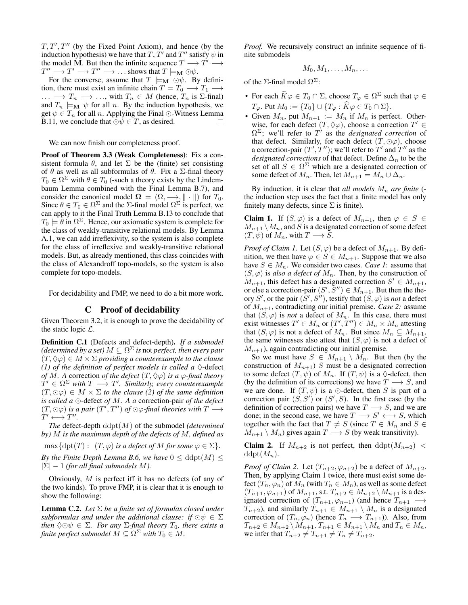$T, T', T''$  (by the Fixed Point Axiom), and hence (by the induction hypothesis) we have that T, T' and T'' satisfy  $\psi$  in the model M. But then the infinite sequence  $T \longrightarrow T' \longrightarrow$  $T'' \longrightarrow T' \longrightarrow T'' \longrightarrow \dots$  shows that  $T \models_M \odot \psi$ .

For the converse, assume that  $T \models_M \circ \psi$ . By definition, there must exist an infinite chain  $T = T_0 \longrightarrow T_1 \longrightarrow$  $\ldots \longrightarrow T_n \longrightarrow \ldots$ , with  $T_n \in M$  (hence,  $T_n$  is  $\Sigma$ -final) and  $T_n \models_M \psi$  for all n. By the induction hypothesis, we get  $\psi \in T_n$  for all n. Applying the Final  $\odot$ -Witness Lemma [B.11,](#page-14-0) we conclude that  $\odot \psi \in T$ , as desired. П

We can now finish our completeness proof.

Proof of Theorem [3.3](#page-5-3) (Weak Completeness): Fix a consistent formula  $\theta$ , and let  $\Sigma$  be the (finite) set consisting of  $\theta$  as well as all subformulas of  $\theta$ . Fix a  $\Sigma$ -final theory  $T_0 \in \Omega^{\Sigma}$  with  $\theta \in T_0$  (-such a theory exists by the Lindembaum Lemma combined with the Final Lemma [B.7\)](#page-13-0), and consider the canonical model  $\mathbf{\Omega} = (\Omega, \rightarrow) \parallel \cdot \parallel)$  for  $T_0$ . Since  $\theta \in T_0 \in \Omega^{\Sigma}$  and the  $\Sigma$ -final model  $\Omega^{\Sigma}$  is perfect, we can apply to it the Final Truth Lemma [B.13](#page-14-1) to conclude that  $T_0 \models \theta$  in  $\Omega^{\Sigma}$ . Hence, our axiomatic system is complete for the class of weakly-transitive relational models. By Lemma [A.1,](#page-10-5) we can add irreflexivity, so the system is also complete for the class of irreflexive and weakly-transitive relational models. But, as already mentioned, this class coincides with the class of Alexandroff topo-models, so the system is also complete for topo-models.

For decidability and FMP, we need to do a bit more work.

#### C Proof of decidability

Given Theorem [3.2,](#page-5-2) it is enough to prove the decidability of the static logic  $\mathcal{L}$ .

Definition C.1 (Defects and defect-depth). *If a submodel (determined by a set)*  $M \subseteq \Omega^{\Sigma}$  *is* not *perfect, then every pair*  $(T, \Diamond \varphi) \in M \times \Sigma$  providing a counterexample to the clause *(1) of the definition of perfect models is called a*  $\Diamond$ -defect *of* M. A correction *of the defect*  $(T, \Diamond \varphi)$  *is a*  $\varphi$ *-final theory*  $T' \in \Omega^{\Sigma}$  with  $T \longrightarrow T'$ . Similarly, every counterexample  $(T, \odot \varphi) \in M \times \Sigma$  to the clause (2) of the same definition *is called a*  $\odot$ -defect *of M. A a* correction-pair *of the defect*  $(T,\odot\varphi)$  *is a pair*  $(T',T'')$  *of*  $\odot\varphi$ -final theories with  $T \longrightarrow$  $T' \longleftrightarrow T''$ .

*The* defect-depth ddpt(M) of the submodel *(determined by)* M *is the maximum depth of the defects of* M*, defined as*

 $\max\{\text{dpt}(T): (T, \varphi) \text{ is a defect of } M \text{ for some } \varphi \in \Sigma\}.$ *By the Finite Depth Lemma [B.6,](#page-12-0) we have*  $0 \leq \text{ddpt}(M) \leq$  $|\Sigma| - 1$  *(for all final submodels M).* 

Obviously, M is perfect iff it has no defects (of any of the two kinds). To prove FMP, it is clear that it is enough to show the following:

Lemma C.2. *Let* Σ *be a finite set of formulas closed under subformulas and under the additional clause: if*  $\odot \psi \in \Sigma$ *then*  $\Diamond \odot \psi \in \Sigma$ *. For any*  $\Sigma$ *-final theory*  $T_0$ *, there exists a finite perfect submodel*  $\dot{M} \subseteq \Omega^{\Sigma}$  *with*  $T_0 \in M$ *.* 

*Proof.* We recursively construct an infinite sequence of finite submodels

$$
M_0, M_1, \ldots, M_n, \ldots
$$

of the  $\Sigma$ -final model  $\Omega^{\Sigma}$ :

- For each  $\widehat{K}\varphi \in T_0 \cap \Sigma$ , choose  $T_{\varphi} \in \Omega^{\Sigma}$  such that  $\varphi \in$  $T_{\varphi}$ . Put  $M_0 := \{T_0\} \cup \{T_{\varphi} : \widehat{K}\varphi \in T_0 \cap \Sigma\}.$
- Given  $M_n$ , put  $M_{n+1} := M_n$  if  $M_n$  is perfect. Otherwise, for each defect  $(T, \Diamond \varphi)$ , choose a correction  $T' \in$  $\Omega^{\Sigma}$ ; we'll refer to  $T'$  as the *designated correction* of that defect. Similarly, for each defect  $(T, \odot \varphi)$ , choose a correction-pair  $(T',T'')$ ; we'll refer to  $T'$  and  $T''$  as the *designated corrections* of that defect. Define  $\Delta_n$  to be the set of all  $S \in \Omega^{\Sigma}$  which are a designated correction of some defect of  $M_n$ . Then, let  $M_{n+1} = M_n \cup \Delta_n$ .

By induction, it is clear that *all models*  $M_n$  *are finite* (the induction step uses the fact that a finite model has only finitely many defects, since  $\Sigma$  is finite).

**Claim 1.** If  $(S, \varphi)$  is a defect of  $M_{n+1}$ , then  $\varphi \in S \in$  $M_{n+1} \setminus M_n$ , and S is a designated correction of some defect  $(T, \psi)$  of  $M_n$ , with  $T \longrightarrow S$ .

*Proof of Claim 1*. Let  $(S, \varphi)$  be a defect of  $M_{n+1}$ . By definition, we then have  $\varphi \in S \in M_{n+1}$ . Suppose that we also have  $S \in M_n$ . We consider two cases. *Case 1*: assume that  $(S, \varphi)$  is *also a defect of*  $M_n$ . Then, by the construction of  $M_{n+1}$ , this defect has a designated correction  $S' \in M_{n+1}$ , or else a correction-pair  $(S', S'') \in M_{n+1}$ . But then the theory S', or the pair  $(S', S'')$ , testify that  $(S, \varphi)$  is *not* a defect of  $M_{n+1}$ , contradicting our initial premise. *Case 2:* assume that  $(S, \varphi)$  is *not* a defect of  $M_n$ . In this case, there must exist witnesses  $T' \in M_n$  or  $(T', T'') \in M_n \times M_n$  attesting that  $(S, \varphi)$  is not a defect of  $M_n$ . But since  $M_n \subseteq M_{n+1}$ , the same witnesses also attest that  $(S, \varphi)$  is not a defect of  $M_{n+1}$ ), again contradicting our initial premise.

So we must have  $S \in M_{n+1} \setminus M_n$ . But then (by the construction of  $M_{n+1}$ ) S must be a designated correction to some defect  $(T, \psi)$  of  $M_n$ . If  $(T, \psi)$  is a  $\Diamond$ -defect, then (by the definition of its corrections) we have  $T \longrightarrow S$ , and we are done. If  $(T, \psi)$  is a  $\odot$ -defect, then S is part of a correction pair  $(S, S')$  or  $(S', S)$ . In the first case (by the definition of correction pairs) we have  $T \longrightarrow S$ , and we are done; in the second case, we have  $T \longrightarrow S' \longleftrightarrow S$ , which together with the fact that  $T \neq S$  (since  $T \in M_n$  and  $S \in$  $M_{n+1} \setminus M_n$ ) gives again  $T \longrightarrow S$  (by weak transitivity).

**Claim 2.** If  $M_{n+2}$  is not perfect, then  $\mathrm{d}\mathrm{d}p\mathrm{t}(M_{n+2}) <$  $\mathrm{ddpt}(M_n)$ .

*Proof of Claim 2.* Let  $(T_{n+2}, \varphi_{n+2})$  be a defect of  $M_{n+2}$ . Then, by applying Claim 1 twice, there must exist some defect  $(T_n, \varphi_n)$  of  $M_n$  (with  $T_n \in M_n$ ), as well as some defect  $(T_{n+1}, \varphi_{n+1})$  of  $M_{n+1}$ , s.t.  $T_{n+2} \in M_{n+2} \setminus M_{n+1}$  is a designated correction of  $(T_{n+1}, \varphi_{n+1})$  (and hence  $T_{n+1} \longrightarrow$  $\widetilde{T}_{n+2}$ ), and similarly  $T_{n+1} \in M_{n+1} \setminus M_n$  is a designated correction of  $(T_n, \varphi_n)$  (hence  $T_n \longrightarrow T_{n+1}$ )). Also, from  $T_{n+2} \in M_{n+2} \setminus M_{n+1}, T_{n+1} \in M_{n+1} \setminus M_n$  and  $T_n \in M_n$ , we infer that  $T_{n+2} \neq T_{n+1} \neq T_n \neq T_{n+2}$ .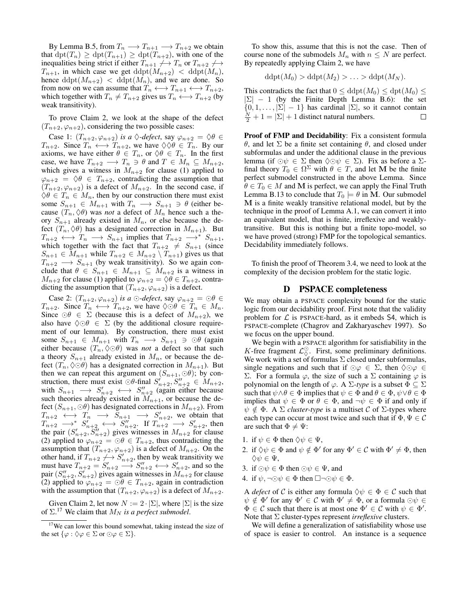By Lemma [B.5,](#page-12-1) from  $T_n \longrightarrow T_{n+1} \longrightarrow T_{n+2}$  we obtain that  $\det(T_n) \geq \det(T_{n+1}) \geq \det(T_{n+2})$ , with one of the inequalities being strict if either  $T_{n+1} \nrightarrow T_n$  or  $T_{n+2} \nrightarrow$  $T_{n+1}$ , in which case we get  $\det(M_{n+2}) < \det(M_n)$ , hence  $\text{dapt}(M_{n+2}) < \text{dapt}(M_n)$ , and we are done. So from now on we can assume that  $T_n \leftrightarrow T_{n+1} \leftrightarrow T_{n+2}$ , which together with  $T_n \neq T_{n+2}$  gives us  $T_n \leftrightarrow T_{n+2}$  (by weak transitivity).

To prove Claim 2, we look at the shape of the defect  $(T_{n+2}, \varphi_{n+2})$ , considering the two possible cases:

Case 1:  $(T_{n+2}, \varphi_{n+2})$  *is a*  $\Diamond$ *-defect*, say  $\varphi_{n+2} = \Diamond \theta \in$  $T_{n+2}$ . Since  $T_n \leftrightarrow T_{n+2}$ , we have  $\Diamond \Diamond \theta \in T_n$ . By our axioms, we have either  $\theta \in T_n$ , or  $\Diamond \theta \in T_n$ . In the first case, we have  $T_{n+2} \longrightarrow T_n \ni \theta$  and  $T \in M_n \subseteq M_{n+2}$ , which gives a witness in  $M_{n+2}$  for clause (1) applied to  $\varphi_{n+2} = \varphi \theta \in T_{n+2}$ , contradicting the assumption that  $(T_{n+2}, \varphi_{n+2})$  is a defect of  $M_{n+2}$ . In the second case, if  $\Diamond \theta \in T_n \in M_n$ , then by our construction there must exist some  $S_{n+1} \in M_{n+1}$  with  $T_n \longrightarrow S_{n+1} \ni \theta$  (either because  $(T_n, \Diamond \theta)$  was *not* a defect of  $M_n$  hence such a theory  $S_{n+1}$  already existed in  $M_n$ , or else because the defect  $(T_n, \Diamond \theta)$  has a designated correction in  $M_{n+1}$ ). But  $T_{n+2} \leftrightarrow T_n \to S_{n+1}$  implies that  $T_{n+2} \to S_{n+1}$ , which together with the fact that  $T_{n+2} \neq S_{n+1}$  (since  $S_{n+1} \in M_{n+1}$  while  $T_{n+2} \in M_{n+2} \setminus T_{n+1}$  gives us that  $T_{n+2} \longrightarrow S_{n+1}$  (by weak transitivity). So we again conclude that  $\theta \in S_{n+1} \in M_{n+1} \subseteq M_{n+2}$  is a witness in  $M_{n+2}$  for clause (1) applied to  $\varphi_{n+2} = \Diamond \theta \in T_{n+2}$ , contradicting the assumption that  $(T_{n+2}, \varphi_{n+2})$  is a defect.

Case 2:  $(T_{n+2}, \varphi_{n+2})$  *is a*  $\odot$ -*defect*, say  $\varphi_{n+2} = \odot \theta$  $T_{n+2}$ . Since  $T_n \leftrightarrow T_{n+2}$ , we have  $\Diamond \odot \theta \in T_n \in M_n$ . Since  $\odot \theta \in \Sigma$  (because this is a defect of  $M_{n+2}$ ), we also have  $\Diamond \odot \theta \in \Sigma$  (by the additional closure requirement of our lemma). By construction, there must exist some  $S_{n+1} \in M_{n+1}$  with  $T_n \longrightarrow S_{n+1} \ni \Theta$  (again either because  $(T_n, \Diamond \odot \theta)$  was *not* a defect so that such a theory  $S_{n+1}$  already existed in  $M_n$ , or because the defect  $(T_n, \Diamond \odot \theta)$  has a designated correction in  $M_{n+1}$ ). But then we can repeat this argument on  $(S_{n+1}, \odot \theta)$ ; by construction, there must exist  $\odot \theta$ -final  $S'_{n+2}, S''_{n+2} \in M_{n+2}$ , with  $S_{n+1} \longrightarrow S'_{n+2} \longleftrightarrow S''_{n+2}$  (again either because such theories already existed in  $M_{n+1}$ , or because the defect  $(S_{n+1}, \odot \theta)$  has designated corrections in  $M_{n+2}$ ). From  $T_{n+2} \leftrightarrow T_n \rightarrow \overline{S}_{n+1} \rightarrow S'_{n+2}$ , we obtain that  $T_{n+2} \longrightarrow^* S'_{n+2} \longleftrightarrow S''_{n+2}$ . If  $T_{n+2} \longrightarrow S'_{n+2}$ , then the pair  $(S'_{n+2}, \overline{S''_{n+2}})$  gives witnesses in  $M_{n+2}$  for clause (2) applied to  $\varphi_{n+2} = \bigcirc \theta \in T_{n+2}$ , thus contradicting the assumption that  $(T_{n+2}, \varphi_{n+2})$  is a defect of  $M_{n+2}$ . On the other hand, if  $T_{n+2} \nightharpoonup S'_{n+2}$ , then by weak transitivity we must have  $T_{n+2} = S'_{n+2} \longrightarrow S''_{n+2} \longleftrightarrow S'_{n+2}$ , and so the pair  $(S''_{n+2}, S'_{n+2})$  gives again witnesses in  $\widetilde{M}_{n+2}$  for clause (2) applied to  $\varphi_{n+2} = \bigcirc \theta \in T_{n+2}$ , again in contradiction with the assumption that  $(T_{n+2}, \varphi_{n+2})$  is a defect of  $M_{n+2}$ .

Given Claim 2, let now  $N := 2 \cdot |\Sigma|$ , where  $|\Sigma|$  is the size of  $\Sigma$ .<sup>[17](#page-16-0)</sup> We claim that  $M_N$  *is a perfect submodel*.

To show this, assume that this is not the case. Then of course none of the submodels  $M_n$  with  $n \leq N$  are perfect. By repeatedly applying Claim 2, we have

$$
d\mathrm{dpt}(M_0) > \mathrm{d}\mathrm{dpt}(M_2) > \ldots > \mathrm{d}\mathrm{dpt}(M_N).
$$

This contradicts the fact that  $0 \leq \text{dopt}(M_0) \leq \text{dpt}(M_0) \leq$  $|\Sigma|$  – 1 (by the Finite Depth Lemma [B.6\)](#page-12-0): the set  $\{0, 1, \ldots, |\Sigma| - 1\}$  has cardinal  $|\Sigma|$ , so it cannot contain  $\frac{N}{2} + 1 = |\Sigma| + 1$  distinct natural numbers.  $\Box$ 

Proof of FMP and Decidability: Fix a consistent formula θ, and let Σ be a finite set containing θ, and closed under subformulas and under the additional clause in the previous lemma (if  $\odot \psi \in \Sigma$  then  $\Diamond \odot \psi \in \Sigma$ ). Fix as before a  $\Sigma$ final theory  $T_0 \in \Omega^{\Sigma}$  with  $\theta \in T$ , and let M be the finite perfect submodel constructed in the above Lemma. Since  $\theta \in T_0 \in M$  and M is perfect, we can apply the Final Truth Lemma [B.13](#page-14-1) to conclude that  $T_0 \models \theta$  in M. Our submodel M is a finite weakly transitive relational model, but by the technique in the proof of Lemma [A.1,](#page-10-5) we can convert it into an equivalent model, that is finite, irreflexive and weaklytransitive. But this is nothing but a finite topo-model, so we have proved (strong) FMP for the topological semantics. Decidability immediately follows.

To finish the proof of Theorem [3.4,](#page-5-5) we need to look at the complexity of the decision problem for the static logic.

#### D PSPACE completeness

We may obtain a PSPACE complexity bound for the static logic from our decidability proof. First note that the validity problem for  $\mathcal L$  is PSPACE-hard, as it embeds S4, which is PSPACE-complete [\(Chagrov and Zakharyaschev 1997\)](#page-9-25). So we focus on the upper bound.

We begin with a PSPACE algorithm for satisfiability in the K-free fragment  $\mathcal{L}_{\lozenge}^{\odot}$ . First, some preliminary definitions. We work with a set of formulas  $\Sigma$  closed under subformulas, single negations and such that if  $\odot \varphi \in \Sigma$ , then  $\Diamond \odot \varphi \in \Sigma$ Σ. For a formula  $\varphi$ , the size of such a Σ containing  $\varphi$  is polynomial on the length of  $\varphi$ . A  $\Sigma$ -type is a subset  $\Phi \subseteq \Sigma$ such that  $\psi \land \theta \in \Phi$  implies that  $\psi \in \Phi$  and  $\theta \in \Phi$ ,  $\psi \lor \theta \in \Phi$ implies that  $\psi \in \Phi$  or  $\theta \in \Phi$ , and  $\neg \psi \in \Phi$  if and only if  $\psi \notin \Phi$ . A  $\Sigma$  *cluster-type* is a multiset C of  $\Sigma$ -types where each type can occur at most twice and such that if  $\Phi$ ,  $\Psi \in \mathcal{C}$ are such that  $\Phi \neq \Psi$ :

- 1. if  $\psi \in \Phi$  then  $\Diamond \psi \in \Psi$ ,
- 2. if  $\Diamond \psi \in \Phi$  and  $\psi \notin \Phi'$  for any  $\Phi' \in \mathcal{C}$  with  $\Phi' \neq \Phi$ , then  $\Diamond \psi \in \Psi$ ,
- 3. if  $\odot \psi \in \Phi$  then  $\odot \psi \in \Psi$ , and
- 4. if  $\psi, \neg \odot \psi \in \Phi$  then  $\Box \neg \odot \psi \in \Phi$ .

A *defect* of C is either any formula  $\Diamond \psi \in \Phi \in C$  such that  $\psi \notin \Phi'$  for any  $\Phi' \in \mathcal{C}$  with  $\Phi' \neq \Phi$ , or a formula  $\odot \psi \in$  $\Phi \in \mathcal{C}$  such that there is at most one  $\Phi' \in \mathcal{C}$  with  $\psi \in \Phi'$ . Note that Σ cluster-types represent *irreflexive* clusters.

We will define a generalization of satisfiability whose use of space is easier to control. An instance is a sequence

<span id="page-16-0"></span> $17$ We can lower this bound somewhat, taking instead the size of the set  $\{\varphi : \Diamond \varphi \in \Sigma \text{ or } \Diamond \varphi \in \Sigma\}.$